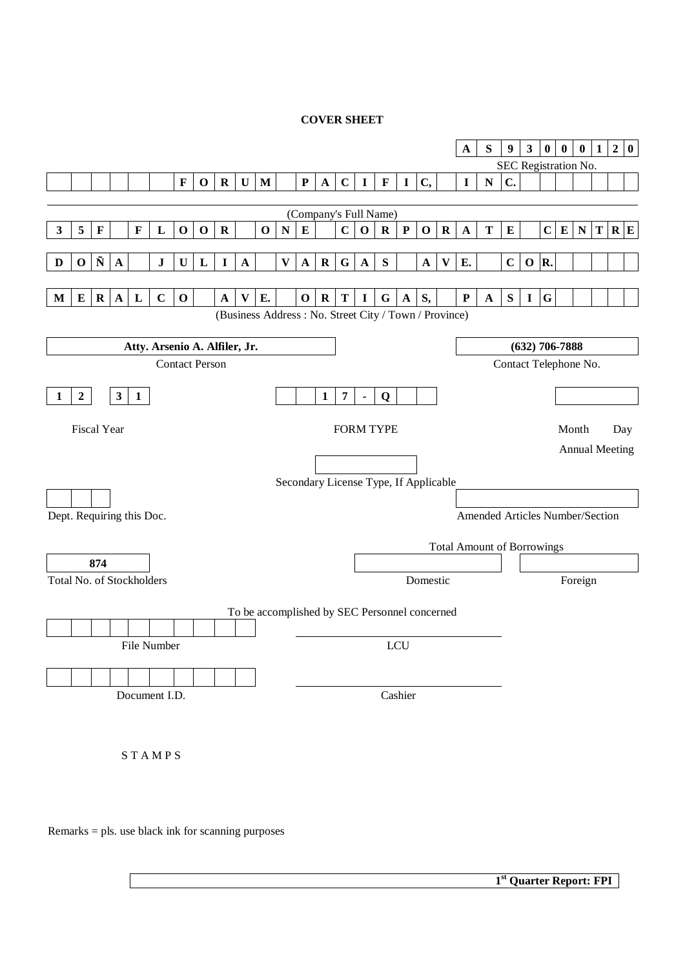# **COVER SHEET**

|                           |                  |                      |                    |              |                               |             |                       |             |             |             |              |             |              |             |                |                                                       |             |              |              | $\mathbf A$                       | ${\bf S}$                       | $\boldsymbol{9}$      | $\mathbf{3}$     | $\bf{0}$    | $\pmb{0}$ | $\pmb{0}$             | $\mathbf{1}$ | $\boldsymbol{2}$ | $\bf{0}$ |
|---------------------------|------------------|----------------------|--------------------|--------------|-------------------------------|-------------|-----------------------|-------------|-------------|-------------|--------------|-------------|--------------|-------------|----------------|-------------------------------------------------------|-------------|--------------|--------------|-----------------------------------|---------------------------------|-----------------------|------------------|-------------|-----------|-----------------------|--------------|------------------|----------|
|                           |                  |                      |                    |              |                               |             |                       |             |             |             |              |             |              |             |                |                                                       |             |              |              |                                   |                                 | SEC Registration No.  |                  |             |           |                       |              |                  |          |
|                           |                  |                      |                    |              |                               | $\mathbf F$ | $\mathbf 0$           | $\mathbf R$ | $\mathbf U$ | M           |              | ${\bf P}$   | $\mathbf{A}$ | $\mathbf C$ | $\mathbf{I}$   | $\mathbf F$                                           | $\mathbf I$ | C,           |              | $\mathbf I$                       | ${\bf N}$                       | $\mathbf{C}$ .        |                  |             |           |                       |              |                  |          |
|                           |                  |                      |                    |              |                               |             |                       |             |             |             |              |             |              |             |                | (Company's Full Name)                                 |             |              |              |                                   |                                 |                       |                  |             |           |                       |              |                  |          |
| 3                         | $\sqrt{5}$       | $\mathbf F$          |                    | $\mathbf F$  | L                             | $\mathbf 0$ | $\mathbf 0$           | $\mathbf R$ |             | $\mathbf 0$ | N            | $\bf{E}$    |              | $\mathbf C$ | $\mathbf 0$    | $\mathbf R$                                           | $\mathbf P$ | $\mathbf 0$  | $\mathbf R$  | $\mathbf A$                       | T                               | $\bf{E}$              |                  | $\mathbf C$ | $\bf{E}$  | ${\bf N}$             | T R E        |                  |          |
|                           |                  |                      |                    |              |                               |             |                       |             |             |             |              |             |              |             |                |                                                       |             |              |              |                                   |                                 |                       |                  |             |           |                       |              |                  |          |
| D                         | $\mathbf 0$      | $\tilde{\textbf{N}}$ | $\mathbf A$        |              | ${\bf J}$                     | $\mathbf U$ | $\mathbf{L}$          | $\mathbf I$ | $\mathbf A$ |             | $\mathbf{V}$ | $\mathbf A$ | $\bf R$      | G           | $\mathbf{A}$   | ${\bf S}$                                             |             | $\mathbf{A}$ | $\mathbf{V}$ | E.                                |                                 | $\mathbf C$           | $\mathbf 0$      | R.          |           |                       |              |                  |          |
|                           |                  |                      |                    |              |                               |             |                       |             |             |             |              |             |              |             |                |                                                       |             |              |              |                                   |                                 |                       |                  |             |           |                       |              |                  |          |
| M                         | $\bf{E}$         | $\bf R$              | $\mathbf A$        | L            | $\mathbf C$                   | $\mathbf 0$ |                       | $\mathbf A$ | V           | E.          |              | $\mathbf 0$ | $\mathbf R$  | T           | $\mathbf I$    | G                                                     | $\mathbf A$ | S,           |              | ${\bf P}$                         | $\mathbf A$                     | ${\bf S}$             | $\mathbf I$      | G           |           |                       |              |                  |          |
|                           |                  |                      |                    |              |                               |             |                       |             |             |             |              |             |              |             |                | (Business Address: No. Street City / Town / Province) |             |              |              |                                   |                                 |                       |                  |             |           |                       |              |                  |          |
|                           |                  |                      |                    |              | Atty. Arsenio A. Alfiler, Jr. |             |                       |             |             |             |              |             |              |             |                |                                                       |             |              |              |                                   |                                 |                       | $(632)$ 706-7888 |             |           |                       |              |                  |          |
|                           |                  |                      |                    |              |                               |             | <b>Contact Person</b> |             |             |             |              |             |              |             |                |                                                       |             |              |              |                                   |                                 | Contact Telephone No. |                  |             |           |                       |              |                  |          |
|                           |                  |                      |                    |              |                               |             |                       |             |             |             |              |             |              |             |                |                                                       |             |              |              |                                   |                                 |                       |                  |             |           |                       |              |                  |          |
| 1                         | $\boldsymbol{2}$ |                      | $\mathbf{3}$       | $\mathbf{1}$ |                               |             |                       |             |             |             |              |             | $\mathbf{1}$ | 7           | $\blacksquare$ | Q                                                     |             |              |              |                                   |                                 |                       |                  |             |           |                       |              |                  |          |
|                           |                  |                      | <b>Fiscal Year</b> |              |                               |             |                       |             |             |             |              |             |              |             |                | <b>FORM TYPE</b>                                      |             |              |              |                                   |                                 |                       |                  |             | Month     |                       |              | Day              |          |
|                           |                  |                      |                    |              |                               |             |                       |             |             |             |              |             |              |             |                |                                                       |             |              |              |                                   |                                 |                       |                  |             |           | <b>Annual Meeting</b> |              |                  |          |
|                           |                  |                      |                    |              |                               |             |                       |             |             |             |              |             |              |             |                |                                                       |             |              |              |                                   |                                 |                       |                  |             |           |                       |              |                  |          |
|                           |                  |                      |                    |              |                               |             |                       |             |             |             |              |             |              |             |                | Secondary License Type, If Applicable                 |             |              |              |                                   |                                 |                       |                  |             |           |                       |              |                  |          |
|                           |                  |                      |                    |              |                               |             |                       |             |             |             |              |             |              |             |                |                                                       |             |              |              |                                   |                                 |                       |                  |             |           |                       |              |                  |          |
| Dept. Requiring this Doc. |                  |                      |                    |              |                               |             |                       |             |             |             |              |             |              |             |                |                                                       |             |              |              |                                   | Amended Articles Number/Section |                       |                  |             |           |                       |              |                  |          |
|                           |                  |                      |                    |              |                               |             |                       |             |             |             |              |             |              |             |                |                                                       |             |              |              | <b>Total Amount of Borrowings</b> |                                 |                       |                  |             |           |                       |              |                  |          |
|                           |                  | 874                  |                    |              |                               |             |                       |             |             |             |              |             |              |             |                |                                                       |             |              |              |                                   |                                 |                       |                  |             |           |                       |              |                  |          |
| Total No. of Stockholders |                  |                      |                    |              |                               |             |                       |             |             |             |              |             |              |             |                |                                                       |             | Domestic     |              |                                   |                                 |                       |                  |             |           | Foreign               |              |                  |          |
|                           |                  |                      |                    |              |                               |             |                       |             |             |             |              |             |              |             |                | To be accomplished by SEC Personnel concerned         |             |              |              |                                   |                                 |                       |                  |             |           |                       |              |                  |          |
|                           |                  |                      |                    |              |                               |             |                       |             |             |             |              |             |              |             |                |                                                       |             |              |              |                                   |                                 |                       |                  |             |           |                       |              |                  |          |
|                           |                  |                      |                    |              | File Number                   |             |                       |             |             |             |              |             |              |             |                |                                                       | LCU         |              |              |                                   |                                 |                       |                  |             |           |                       |              |                  |          |
|                           |                  |                      |                    |              |                               |             |                       |             |             |             |              |             |              |             |                |                                                       |             |              |              |                                   |                                 |                       |                  |             |           |                       |              |                  |          |
|                           |                  |                      |                    |              | Document I.D.                 |             |                       |             |             |             |              |             |              |             |                |                                                       | Cashier     |              |              |                                   |                                 |                       |                  |             |           |                       |              |                  |          |
|                           |                  |                      |                    |              |                               |             |                       |             |             |             |              |             |              |             |                |                                                       |             |              |              |                                   |                                 |                       |                  |             |           |                       |              |                  |          |
|                           |                  |                      |                    |              |                               |             |                       |             |             |             |              |             |              |             |                |                                                       |             |              |              |                                   |                                 |                       |                  |             |           |                       |              |                  |          |
|                           |                  |                      |                    |              |                               |             |                       |             |             |             |              |             |              |             |                |                                                       |             |              |              |                                   |                                 |                       |                  |             |           |                       |              |                  |          |
|                           |                  |                      |                    |              | STAMPS                        |             |                       |             |             |             |              |             |              |             |                |                                                       |             |              |              |                                   |                                 |                       |                  |             |           |                       |              |                  |          |
|                           |                  |                      |                    |              |                               |             |                       |             |             |             |              |             |              |             |                |                                                       |             |              |              |                                   |                                 |                       |                  |             |           |                       |              |                  |          |
|                           |                  |                      |                    |              |                               |             |                       |             |             |             |              |             |              |             |                |                                                       |             |              |              |                                   |                                 |                       |                  |             |           |                       |              |                  |          |

Remarks = pls. use black ink for scanning purposes

**1st Quarter Report: FPI**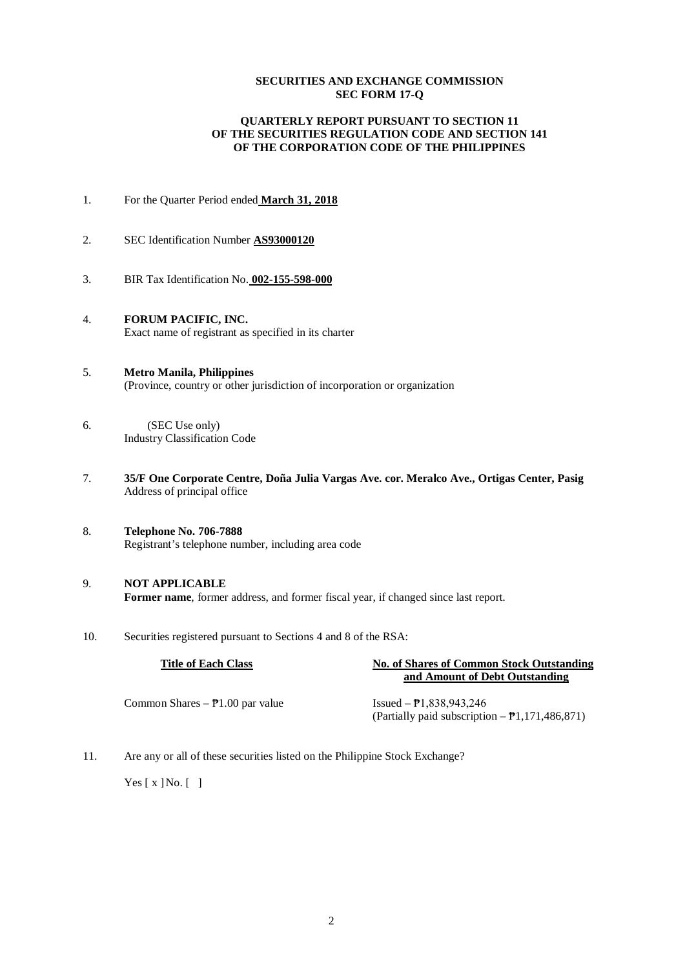# **SECURITIES AND EXCHANGE COMMISSION SEC FORM 17-Q**

# **QUARTERLY REPORT PURSUANT TO SECTION 11 OF THE SECURITIES REGULATION CODE AND SECTION 141 OF THE CORPORATION CODE OF THE PHILIPPINES**

- 1. For the Quarter Period ended **March 31, 2018**
- 2. SEC Identification Number **AS93000120**
- 3. BIR Tax Identification No. **002-155-598-000**
- 4. **FORUM PACIFIC, INC.** Exact name of registrant as specified in its charter
- 5. **Metro Manila, Philippines** (Province, country or other jurisdiction of incorporation or organization
- 6. (SEC Use only) Industry Classification Code
- 7. **35/F One Corporate Centre, Doña Julia Vargas Ave. cor. Meralco Ave., Ortigas Center, Pasig** Address of principal office
- 8. **Telephone No. 706-7888** Registrant's telephone number, including area code
- 9. **NOT APPLICABLE Former name**, former address, and former fiscal year, if changed since last report.
- 10. Securities registered pursuant to Sections 4 and 8 of the RSA:

| <b>Title of Each Class</b>                  | <b>No. of Shares of Common Stock Outstanding</b>                                                    |  |  |  |
|---------------------------------------------|-----------------------------------------------------------------------------------------------------|--|--|--|
|                                             | and Amount of Debt Outstanding                                                                      |  |  |  |
| Common Shares $ \overline{P}1.00$ par value | Issued $ \overline{P}1.838.943.246$<br>(Partially paid subscription $-\frac{1}{2}$ , 171, 486, 871) |  |  |  |
|                                             |                                                                                                     |  |  |  |

11. Are any or all of these securities listed on the Philippine Stock Exchange?

Yes  $[x]$  No.  $\lceil \; \rceil$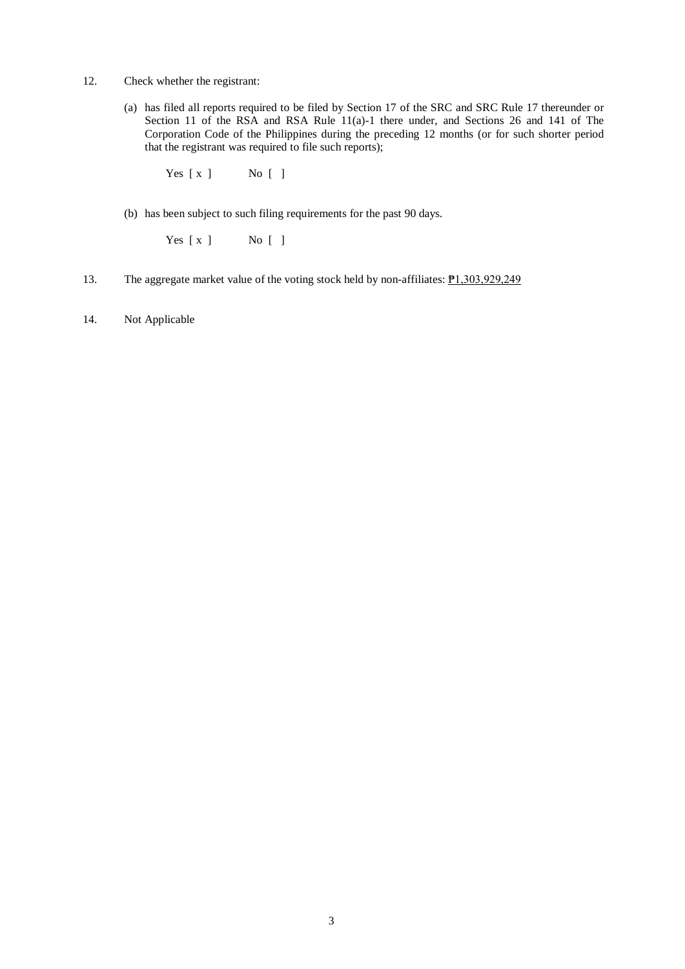- 12. Check whether the registrant:
	- (a) has filed all reports required to be filed by Section 17 of the SRC and SRC Rule 17 thereunder or Section 11 of the RSA and RSA Rule 11(a)-1 there under, and Sections 26 and 141 of The Corporation Code of the Philippines during the preceding 12 months (or for such shorter period that the registrant was required to file such reports);

Yes [ x ] No [ ]

(b) has been subject to such filing requirements for the past 90 days.

Yes [ x ] No [ ]

- 13. The aggregate market value of the voting stock held by non-affiliates: **P**1,303,929,249
- 14. Not Applicable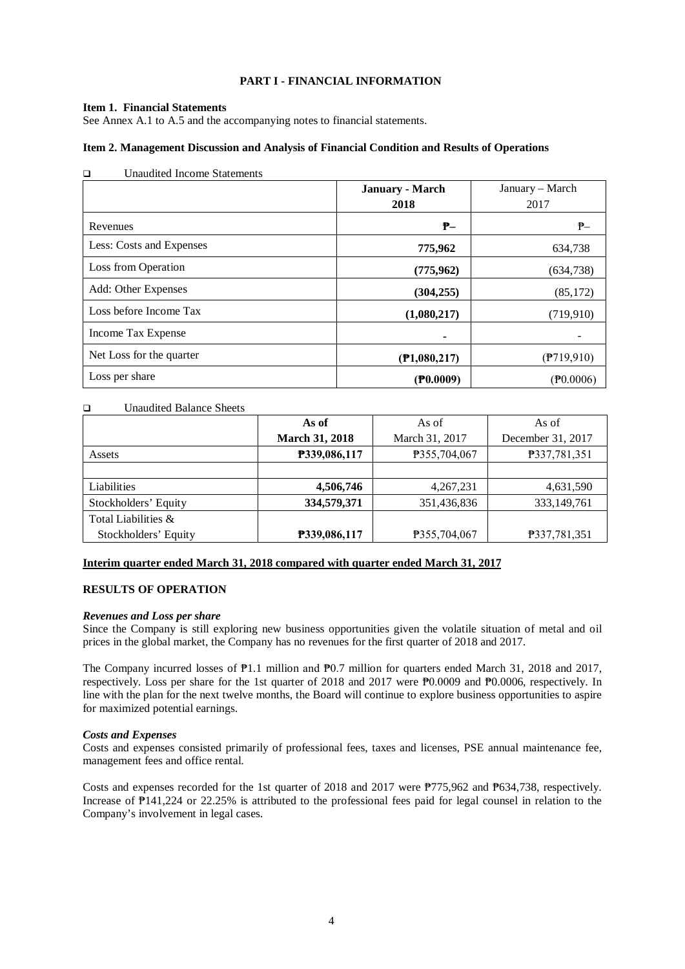# **PART I - FINANCIAL INFORMATION**

### **Item 1. Financial Statements**

See Annex A.1 to A.5 and the accompanying notes to financial statements.

### **Item 2. Management Discussion and Analysis of Financial Condition and Results of Operations**

| <b>Unaudited Income Statements</b><br>$\Box$ |                        |                      |
|----------------------------------------------|------------------------|----------------------|
|                                              | <b>January - March</b> | January – March      |
|                                              | 2018                   | 2017                 |
| Revenues                                     | ₱–                     | $P-$                 |
| Less: Costs and Expenses                     | 775,962                | 634,738              |
| Loss from Operation                          | (775, 962)             | (634, 738)           |
| Add: Other Expenses                          | (304, 255)             | (85,172)             |
| Loss before Income Tax                       | (1,080,217)            | (719, 910)           |
| Income Tax Expense                           |                        |                      |
| Net Loss for the quarter                     | (P1,080,217)           | $($ P719,910)        |
| Loss per share                               | $($ P $0.0009)$        | $(\mathbb{P}0.0006)$ |

#### Unaudited Balance Sheets

|                      | As of                 | As of          | As of             |
|----------------------|-----------------------|----------------|-------------------|
|                      | <b>March 31, 2018</b> | March 31, 2017 | December 31, 2017 |
| Assets               | P339,086,117          | P355,704,067   | P337,781,351      |
|                      |                       |                |                   |
| Liabilities          | 4,506,746             | 4,267,231      | 4,631,590         |
| Stockholders' Equity | 334,579,371           | 351,436,836    | 333,149,761       |
| Total Liabilities &  |                       |                |                   |
| Stockholders' Equity | P339,086,117          | P355,704,067   | P337,781,351      |

# **Interim quarter ended March 31, 2018 compared with quarter ended March 31, 2017**

# **RESULTS OF OPERATION**

#### *Revenues and Loss per share*

Since the Company is still exploring new business opportunities given the volatile situation of metal and oil prices in the global market, the Company has no revenues for the first quarter of 2018 and 2017.

The Company incurred losses of ₱1.1 million and ₱0.7 million for quarters ended March 31, 2018 and 2017, respectively. Loss per share for the 1st quarter of 2018 and 2017 were ₱0.0009 and ₱0.0006, respectively. In line with the plan for the next twelve months, the Board will continue to explore business opportunities to aspire for maximized potential earnings.

#### *Costs and Expenses*

Costs and expenses consisted primarily of professional fees, taxes and licenses, PSE annual maintenance fee, management fees and office rental.

Costs and expenses recorded for the 1st quarter of 2018 and 2017 were ₱775,962 and ₱634,738, respectively. Increase of ₱141,224 or 22.25% is attributed to the professional fees paid for legal counsel in relation to the Company's involvement in legal cases.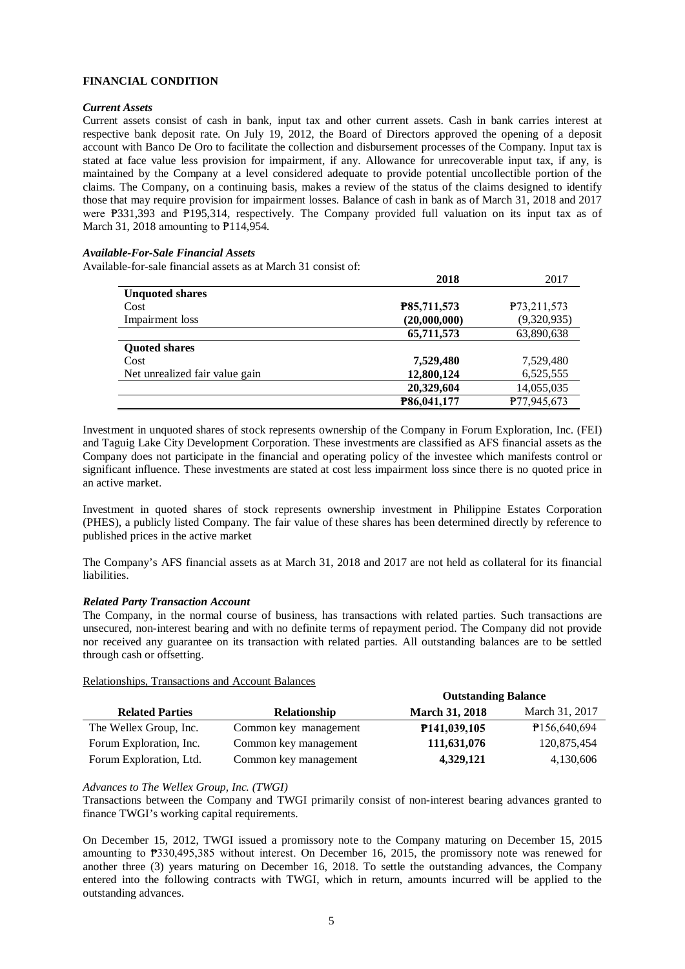# **FINANCIAL CONDITION**

# *Current Assets*

Current assets consist of cash in bank, input tax and other current assets. Cash in bank carries interest at respective bank deposit rate. On July 19, 2012, the Board of Directors approved the opening of a deposit account with Banco De Oro to facilitate the collection and disbursement processes of the Company. Input tax is stated at face value less provision for impairment, if any. Allowance for unrecoverable input tax, if any, is maintained by the Company at a level considered adequate to provide potential uncollectible portion of the claims. The Company, on a continuing basis, makes a review of the status of the claims designed to identify those that may require provision for impairment losses. Balance of cash in bank as of March 31, 2018 and 2017 were ₱331,393 and ₱195,314, respectively. The Company provided full valuation on its input tax as of March 31, 2018 amounting to  $P$ 114, 954.

# *Available-For-Sale Financial Assets*

Available-for-sale financial assets as at March 31 consist of:

|                                | 2018         | 2017                     |
|--------------------------------|--------------|--------------------------|
| <b>Unquoted shares</b>         |              |                          |
| Cost                           | P85,711,573  | P <sub>73</sub> ,211,573 |
| Impairment loss                | (20,000,000) | (9,320,935)              |
|                                | 65,711,573   | 63,890,638               |
| <b>Quoted shares</b>           |              |                          |
| Cost                           | 7,529,480    | 7,529,480                |
| Net unrealized fair value gain | 12,800,124   | 6,525,555                |
|                                | 20,329,604   | 14,055,035               |
|                                | P86,041,177  | P77,945,673              |

Investment in unquoted shares of stock represents ownership of the Company in Forum Exploration, Inc. (FEI) and Taguig Lake City Development Corporation. These investments are classified as AFS financial assets as the Company does not participate in the financial and operating policy of the investee which manifests control or significant influence. These investments are stated at cost less impairment loss since there is no quoted price in an active market.

Investment in quoted shares of stock represents ownership investment in Philippine Estates Corporation (PHES), a publicly listed Company. The fair value of these shares has been determined directly by reference to published prices in the active market

The Company's AFS financial assets as at March 31, 2018 and 2017 are not held as collateral for its financial liabilities.

# *Related Party Transaction Account*

The Company, in the normal course of business, has transactions with related parties. Such transactions are unsecured, non-interest bearing and with no definite terms of repayment period. The Company did not provide nor received any guarantee on its transaction with related parties. All outstanding balances are to be settled through cash or offsetting.

# Relationships, Transactions and Account Balances

|                         |                       | <b>Outstanding Balance</b> |                |
|-------------------------|-----------------------|----------------------------|----------------|
| <b>Related Parties</b>  | <b>Relationship</b>   | <b>March 31, 2018</b>      | March 31, 2017 |
| The Wellex Group, Inc.  | Common key management | <b>P141,039,105</b>        | P156,640,694   |
| Forum Exploration, Inc. | Common key management | 111,631,076                | 120,875,454    |
| Forum Exploration, Ltd. | Common key management | 4,329,121                  | 4,130,606      |

# *Advances to The Wellex Group, Inc. (TWGI)*

Transactions between the Company and TWGI primarily consist of non-interest bearing advances granted to finance TWGI's working capital requirements.

On December 15, 2012, TWGI issued a promissory note to the Company maturing on December 15, 2015 amounting to ₱330,495,385 without interest. On December 16, 2015, the promissory note was renewed for another three (3) years maturing on December 16, 2018. To settle the outstanding advances, the Company entered into the following contracts with TWGI, which in return, amounts incurred will be applied to the outstanding advances.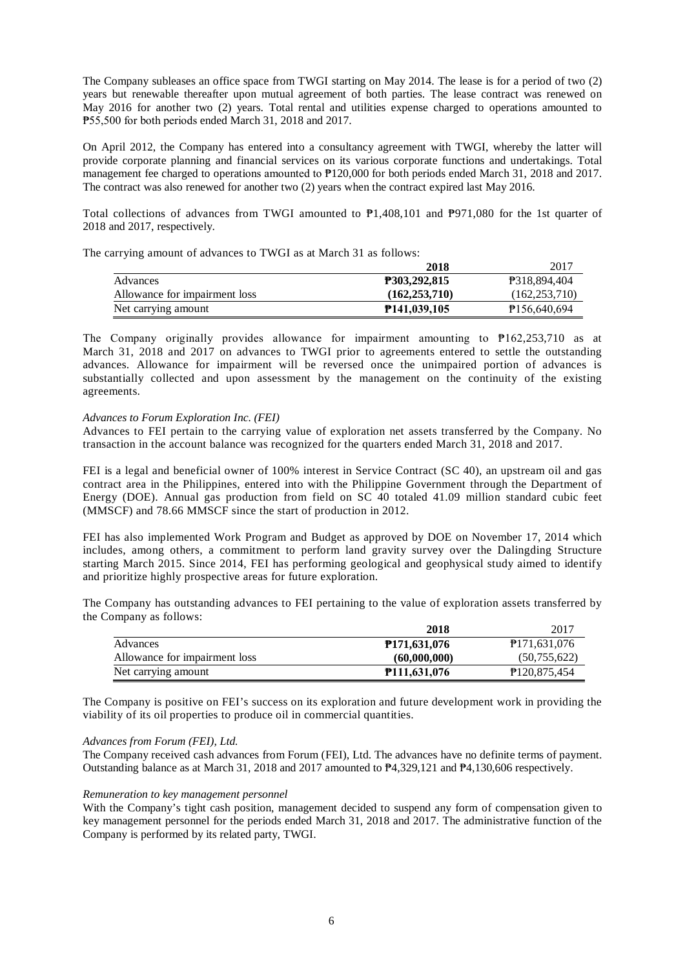The Company subleases an office space from TWGI starting on May 2014. The lease is for a period of two (2) years but renewable thereafter upon mutual agreement of both parties. The lease contract was renewed on May 2016 for another two (2) years. Total rental and utilities expense charged to operations amounted to ₱55,500 for both periods ended March 31, 2018 and 2017.

On April 2012, the Company has entered into a consultancy agreement with TWGI, whereby the latter will provide corporate planning and financial services on its various corporate functions and undertakings. Total management fee charged to operations amounted to  $P120,000$  for both periods ended March 31, 2018 and 2017. The contract was also renewed for another two (2) years when the contract expired last May 2016.

Total collections of advances from TWGI amounted to ₱1,408,101 and ₱971,080 for the 1st quarter of 2018 and 2017, respectively.

The carrying amount of advances to TWGI as at March 31 as follows:

|                               | 2018                | 2017                     |
|-------------------------------|---------------------|--------------------------|
| Advances                      | <b>P303,292,815</b> | <b>P318.894.404</b>      |
| Allowance for impairment loss | (162.253.710)       | (162, 253, 710)          |
| Net carrying amount           | <b>P141,039,105</b> | P <sub>156,640,694</sub> |

The Company originally provides allowance for impairment amounting to ₱162,253,710 as at March 31, 2018 and 2017 on advances to TWGI prior to agreements entered to settle the outstanding advances. Allowance for impairment will be reversed once the unimpaired portion of advances is substantially collected and upon assessment by the management on the continuity of the existing agreements.

#### *Advances to Forum Exploration Inc. (FEI)*

Advances to FEI pertain to the carrying value of exploration net assets transferred by the Company. No transaction in the account balance was recognized for the quarters ended March 31, 2018 and 2017.

FEI is a legal and beneficial owner of 100% interest in Service Contract (SC 40), an upstream oil and gas contract area in the Philippines, entered into with the Philippine Government through the Department of Energy (DOE). Annual gas production from field on SC 40 totaled 41.09 million standard cubic feet (MMSCF) and 78.66 MMSCF since the start of production in 2012.

FEI has also implemented Work Program and Budget as approved by DOE on November 17, 2014 which includes, among others, a commitment to perform land gravity survey over the Dalingding Structure starting March 2015. Since 2014, FEI has performing geological and geophysical study aimed to identify and prioritize highly prospective areas for future exploration.

The Company has outstanding advances to FEI pertaining to the value of exploration assets transferred by the Company as follows:

|                               | 2018                | 2017                        |
|-------------------------------|---------------------|-----------------------------|
| Advances                      | <b>P171,631,076</b> | P171,631,076                |
| Allowance for impairment loss | (60,000,000)        | (50,755,622)                |
| Net carrying amount           | <b>P111,631,076</b> | P <sub>120</sub> , 875, 454 |

The Company is positive on FEI's success on its exploration and future development work in providing the viability of its oil properties to produce oil in commercial quantities.

#### *Advances from Forum (FEI), Ltd.*

The Company received cash advances from Forum (FEI), Ltd. The advances have no definite terms of payment. Outstanding balance as at March 31, 2018 and 2017 amounted to ₱4,329,121 and ₱4,130,606 respectively.

#### *Remuneration to key management personnel*

With the Company's tight cash position, management decided to suspend any form of compensation given to key management personnel for the periods ended March 31, 2018 and 2017. The administrative function of the Company is performed by its related party, TWGI.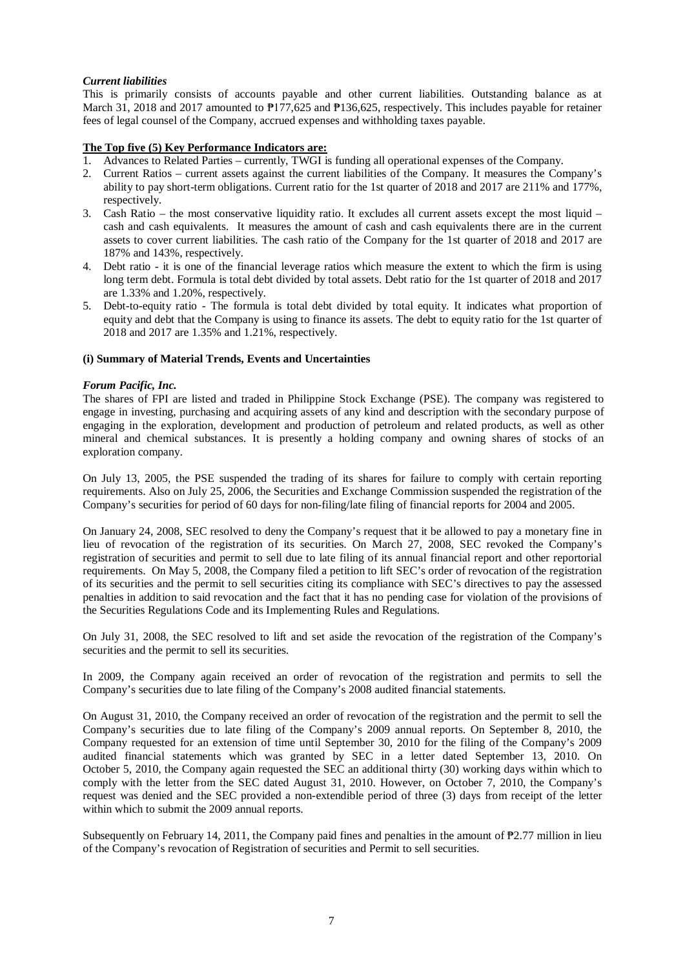# *Current liabilities*

This is primarily consists of accounts payable and other current liabilities. Outstanding balance as at March 31, 2018 and 2017 amounted to  $\frac{p_{17}}{625}$  and  $\frac{p_{136,625}}{625}$ , respectively. This includes payable for retainer fees of legal counsel of the Company, accrued expenses and withholding taxes payable.

# **The Top five (5) Key Performance Indicators are:**

- 1. Advances to Related Parties currently, TWGI is funding all operational expenses of the Company.
- 2. Current Ratios current assets against the current liabilities of the Company. It measures the Company's ability to pay short-term obligations. Current ratio for the 1st quarter of 2018 and 2017 are 211% and 177%, respectively.
- 3. Cash Ratio the most conservative liquidity ratio. It excludes all current assets except the most liquid cash and cash equivalents. It measures the amount of cash and cash equivalents there are in the current assets to cover current liabilities. The cash ratio of the Company for the 1st quarter of 2018 and 2017 are 187% and 143%, respectively.
- 4. Debt ratio it is one of the financial leverage ratios which measure the extent to which the firm is using long term debt. Formula is total debt divided by total assets. Debt ratio for the 1st quarter of 2018 and 2017 are 1.33% and 1.20%, respectively.
- 5. Debt-to-equity ratio The formula is total debt divided by total equity. It indicates what proportion of equity and debt that the Company is using to finance its assets. The debt to equity ratio for the 1st quarter of 2018 and 2017 are 1.35% and 1.21%, respectively.

# **(i) Summary of Material Trends, Events and Uncertainties**

# *Forum Pacific, Inc.*

The shares of FPI are listed and traded in Philippine Stock Exchange (PSE). The company was registered to engage in investing, purchasing and acquiring assets of any kind and description with the secondary purpose of engaging in the exploration, development and production of petroleum and related products, as well as other mineral and chemical substances. It is presently a holding company and owning shares of stocks of an exploration company.

On July 13, 2005, the PSE suspended the trading of its shares for failure to comply with certain reporting requirements. Also on July 25, 2006, the Securities and Exchange Commission suspended the registration of the Company's securities for period of 60 days for non-filing/late filing of financial reports for 2004 and 2005.

On January 24, 2008, SEC resolved to deny the Company's request that it be allowed to pay a monetary fine in lieu of revocation of the registration of its securities. On March 27, 2008, SEC revoked the Company's registration of securities and permit to sell due to late filing of its annual financial report and other reportorial requirements. On May 5, 2008, the Company filed a petition to lift SEC's order of revocation of the registration of its securities and the permit to sell securities citing its compliance with SEC's directives to pay the assessed penalties in addition to said revocation and the fact that it has no pending case for violation of the provisions of the Securities Regulations Code and its Implementing Rules and Regulations.

On July 31, 2008, the SEC resolved to lift and set aside the revocation of the registration of the Company's securities and the permit to sell its securities.

In 2009, the Company again received an order of revocation of the registration and permits to sell the Company's securities due to late filing of the Company's 2008 audited financial statements.

On August 31, 2010, the Company received an order of revocation of the registration and the permit to sell the Company's securities due to late filing of the Company's 2009 annual reports. On September 8, 2010, the Company requested for an extension of time until September 30, 2010 for the filing of the Company's 2009 audited financial statements which was granted by SEC in a letter dated September 13, 2010. On October 5, 2010, the Company again requested the SEC an additional thirty (30) working days within which to comply with the letter from the SEC dated August 31, 2010. However, on October 7, 2010, the Company's request was denied and the SEC provided a non-extendible period of three (3) days from receipt of the letter within which to submit the 2009 annual reports.

Subsequently on February 14, 2011, the Company paid fines and penalties in the amount of ₱2.77 million in lieu of the Company's revocation of Registration of securities and Permit to sell securities.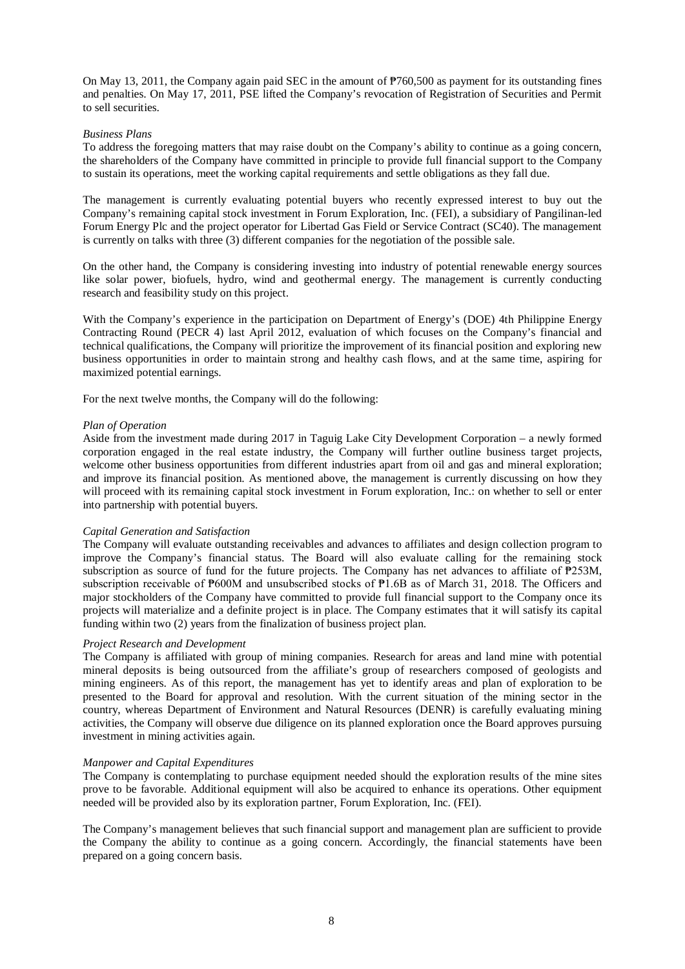On May 13, 2011, the Company again paid SEC in the amount of ₱760,500 as payment for its outstanding fines and penalties. On May 17, 2011, PSE lifted the Company's revocation of Registration of Securities and Permit to sell securities.

#### *Business Plans*

To address the foregoing matters that may raise doubt on the Company's ability to continue as a going concern, the shareholders of the Company have committed in principle to provide full financial support to the Company to sustain its operations, meet the working capital requirements and settle obligations as they fall due.

The management is currently evaluating potential buyers who recently expressed interest to buy out the Company's remaining capital stock investment in Forum Exploration, Inc. (FEI), a subsidiary of Pangilinan-led Forum Energy Plc and the project operator for Libertad Gas Field or Service Contract (SC40). The management is currently on talks with three (3) different companies for the negotiation of the possible sale.

On the other hand, the Company is considering investing into industry of potential renewable energy sources like solar power, biofuels, hydro, wind and geothermal energy. The management is currently conducting research and feasibility study on this project.

With the Company's experience in the participation on Department of Energy's (DOE) 4th Philippine Energy Contracting Round (PECR 4) last April 2012, evaluation of which focuses on the Company's financial and technical qualifications, the Company will prioritize the improvement of its financial position and exploring new business opportunities in order to maintain strong and healthy cash flows, and at the same time, aspiring for maximized potential earnings.

For the next twelve months, the Company will do the following:

#### *Plan of Operation*

Aside from the investment made during 2017 in Taguig Lake City Development Corporation – a newly formed corporation engaged in the real estate industry, the Company will further outline business target projects, welcome other business opportunities from different industries apart from oil and gas and mineral exploration; and improve its financial position. As mentioned above, the management is currently discussing on how they will proceed with its remaining capital stock investment in Forum exploration, Inc.: on whether to sell or enter into partnership with potential buyers.

#### *Capital Generation and Satisfaction*

The Company will evaluate outstanding receivables and advances to affiliates and design collection program to improve the Company's financial status. The Board will also evaluate calling for the remaining stock subscription as source of fund for the future projects. The Company has net advances to affiliate of  $P253M$ , subscription receivable of  $\overline{P600M}$  and unsubscribed stocks of  $\overline{P1.6B}$  as of March 31, 2018. The Officers and major stockholders of the Company have committed to provide full financial support to the Company once its projects will materialize and a definite project is in place. The Company estimates that it will satisfy its capital funding within two (2) years from the finalization of business project plan.

#### *Project Research and Development*

The Company is affiliated with group of mining companies. Research for areas and land mine with potential mineral deposits is being outsourced from the affiliate's group of researchers composed of geologists and mining engineers. As of this report, the management has yet to identify areas and plan of exploration to be presented to the Board for approval and resolution. With the current situation of the mining sector in the country, whereas Department of Environment and Natural Resources (DENR) is carefully evaluating mining activities, the Company will observe due diligence on its planned exploration once the Board approves pursuing investment in mining activities again.

#### *Manpower and Capital Expenditures*

The Company is contemplating to purchase equipment needed should the exploration results of the mine sites prove to be favorable. Additional equipment will also be acquired to enhance its operations. Other equipment needed will be provided also by its exploration partner, Forum Exploration, Inc. (FEI).

The Company's management believes that such financial support and management plan are sufficient to provide the Company the ability to continue as a going concern. Accordingly, the financial statements have been prepared on a going concern basis.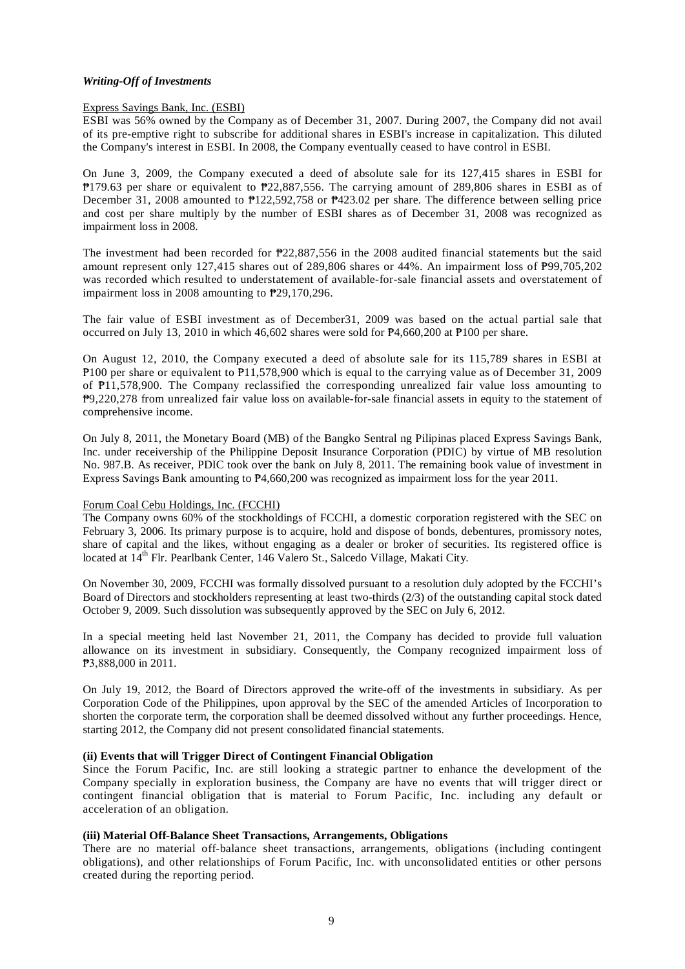# *Writing-Off of Investments*

### Express Savings Bank, Inc. (ESBI)

ESBI was 56% owned by the Company as of December 31, 2007. During 2007, the Company did not avail of its pre-emptive right to subscribe for additional shares in ESBI's increase in capitalization. This diluted the Company's interest in ESBI. In 2008, the Company eventually ceased to have control in ESBI.

On June 3, 2009, the Company executed a deed of absolute sale for its 127,415 shares in ESBI for ₱179.63 per share or equivalent to ₱22,887,556. The carrying amount of 289,806 shares in ESBI as of December 31, 2008 amounted to ₱122,592,758 or ₱423.02 per share. The difference between selling price and cost per share multiply by the number of ESBI shares as of December 31, 2008 was recognized as impairment loss in 2008.

The investment had been recorded for ₱22,887,556 in the 2008 audited financial statements but the said amount represent only 127,415 shares out of 289,806 shares or 44%. An impairment loss of ₱99,705,202 was recorded which resulted to understatement of available-for-sale financial assets and overstatement of impairment loss in 2008 amounting to ₱29,170,296.

The fair value of ESBI investment as of December31, 2009 was based on the actual partial sale that occurred on July 13, 2010 in which 46,602 shares were sold for ₱4,660,200 at ₱100 per share.

On August 12, 2010, the Company executed a deed of absolute sale for its 115,789 shares in ESBI at ₱100 per share or equivalent to ₱11,578,900 which is equal to the carrying value as of December 31, 2009 of ₱11,578,900. The Company reclassified the corresponding unrealized fair value loss amounting to ₱9,220,278 from unrealized fair value loss on available-for-sale financial assets in equity to the statement of comprehensive income.

On July 8, 2011, the Monetary Board (MB) of the Bangko Sentral ng Pilipinas placed Express Savings Bank, Inc. under receivership of the Philippine Deposit Insurance Corporation (PDIC) by virtue of MB resolution No. 987.B. As receiver, PDIC took over the bank on July 8, 2011. The remaining book value of investment in Express Savings Bank amounting to ₱4,660,200 was recognized as impairment loss for the year 2011.

#### Forum Coal Cebu Holdings, Inc. (FCCHI)

The Company owns 60% of the stockholdings of FCCHI, a domestic corporation registered with the SEC on February 3, 2006. Its primary purpose is to acquire, hold and dispose of bonds, debentures, promissory notes, share of capital and the likes, without engaging as a dealer or broker of securities. Its registered office is located at  $14^{\text{th}}$  Flr. Pearlbank Center, 146 Valero St., Salcedo Village, Makati City.

On November 30, 2009, FCCHI was formally dissolved pursuant to a resolution duly adopted by the FCCHI's Board of Directors and stockholders representing at least two-thirds (2/3) of the outstanding capital stock dated October 9, 2009. Such dissolution was subsequently approved by the SEC on July 6, 2012.

In a special meeting held last November 21, 2011, the Company has decided to provide full valuation allowance on its investment in subsidiary. Consequently, the Company recognized impairment loss of ₱3,888,000 in 2011.

On July 19, 2012, the Board of Directors approved the write-off of the investments in subsidiary. As per Corporation Code of the Philippines, upon approval by the SEC of the amended Articles of Incorporation to shorten the corporate term, the corporation shall be deemed dissolved without any further proceedings. Hence, starting 2012, the Company did not present consolidated financial statements.

# **(ii) Events that will Trigger Direct of Contingent Financial Obligation**

Since the Forum Pacific, Inc. are still looking a strategic partner to enhance the development of the Company specially in exploration business, the Company are have no events that will trigger direct or contingent financial obligation that is material to Forum Pacific, Inc. including any default or acceleration of an obligation.

# **(iii) Material Off-Balance Sheet Transactions, Arrangements, Obligations**

There are no material off-balance sheet transactions, arrangements, obligations (including contingent obligations), and other relationships of Forum Pacific, Inc. with unconsolidated entities or other persons created during the reporting period.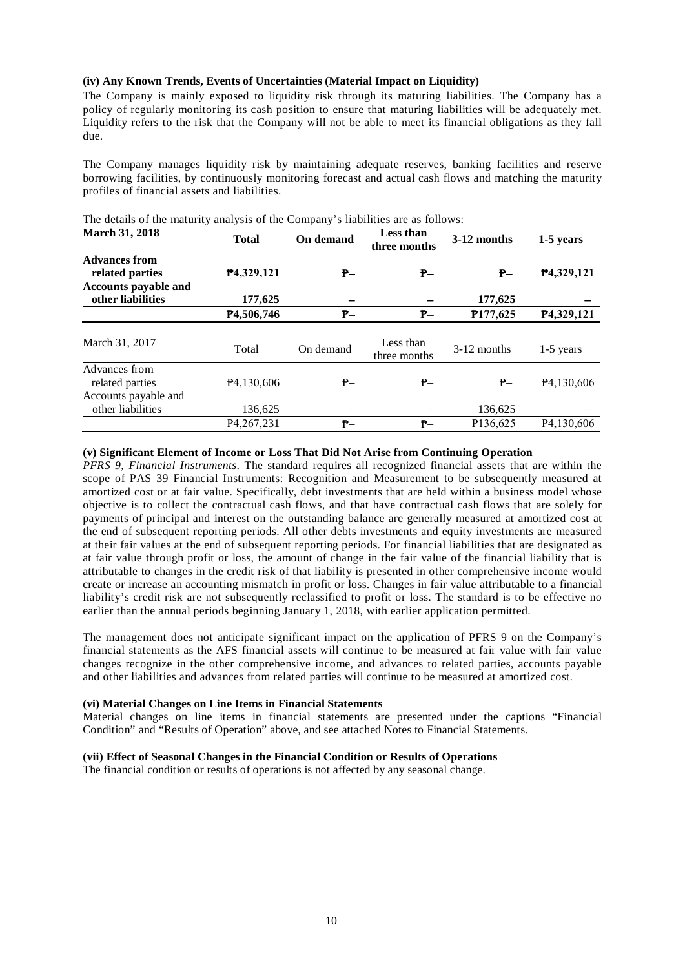# **(iv) Any Known Trends, Events of Uncertainties (Material Impact on Liquidity)**

The Company is mainly exposed to liquidity risk through its maturing liabilities. The Company has a policy of regularly monitoring its cash position to ensure that maturing liabilities will be adequately met. Liquidity refers to the risk that the Company will not be able to meet its financial obligations as they fall due.

The Company manages liquidity risk by maintaining adequate reserves, banking facilities and reserve borrowing facilities, by continuously monitoring forecast and actual cash flows and matching the maturity profiles of financial assets and liabilities.

| <b>March 31, 2018</b>                                                  | <b>Total</b>            | On demand | Less than<br>three months | 3-12 months   | 1-5 years               |
|------------------------------------------------------------------------|-------------------------|-----------|---------------------------|---------------|-------------------------|
| <b>Advances from</b><br>related parties<br><b>Accounts payable and</b> | P <sub>4</sub> ,329,121 | ₱–        | ₱–                        | ₱–            | P <sub>4</sub> ,329,121 |
| other liabilities                                                      | 177,625                 |           |                           | 177,625       |                         |
|                                                                        | P4,506,746              | ₱–        | ₱–                        | P177,625      | P <sub>4</sub> ,329,121 |
| March 31, 2017                                                         | Total                   | On demand | Less than<br>three months | $3-12$ months | $1-5$ years             |
| Advances from<br>related parties<br>Accounts payable and               | P <sub>4</sub> ,130,606 | $P-$      | ₱–                        | ₱–            | $P$ 4,130,606           |
| other liabilities                                                      | 136,625                 |           |                           | 136,625       |                         |
|                                                                        | P4,267,231              | ₱–        | ₱–                        | P136,625      | P <sub>4</sub> ,130,606 |

The details of the maturity analysis of the Company's liabilities are as follows:

### **(v) Significant Element of Income or Loss That Did Not Arise from Continuing Operation**

*PFRS 9, Financial Instruments*. The standard requires all recognized financial assets that are within the scope of PAS 39 Financial Instruments: Recognition and Measurement to be subsequently measured at amortized cost or at fair value. Specifically, debt investments that are held within a business model whose objective is to collect the contractual cash flows, and that have contractual cash flows that are solely for payments of principal and interest on the outstanding balance are generally measured at amortized cost at the end of subsequent reporting periods. All other debts investments and equity investments are measured at their fair values at the end of subsequent reporting periods. For financial liabilities that are designated as at fair value through profit or loss, the amount of change in the fair value of the financial liability that is attributable to changes in the credit risk of that liability is presented in other comprehensive income would create or increase an accounting mismatch in profit or loss. Changes in fair value attributable to a financial liability's credit risk are not subsequently reclassified to profit or loss. The standard is to be effective no earlier than the annual periods beginning January 1, 2018, with earlier application permitted.

The management does not anticipate significant impact on the application of PFRS 9 on the Company's financial statements as the AFS financial assets will continue to be measured at fair value with fair value changes recognize in the other comprehensive income, and advances to related parties, accounts payable and other liabilities and advances from related parties will continue to be measured at amortized cost.

#### **(vi) Material Changes on Line Items in Financial Statements**

Material changes on line items in financial statements are presented under the captions "Financial Condition" and "Results of Operation" above, and see attached Notes to Financial Statements.

# **(vii) Effect of Seasonal Changes in the Financial Condition or Results of Operations**

The financial condition or results of operations is not affected by any seasonal change.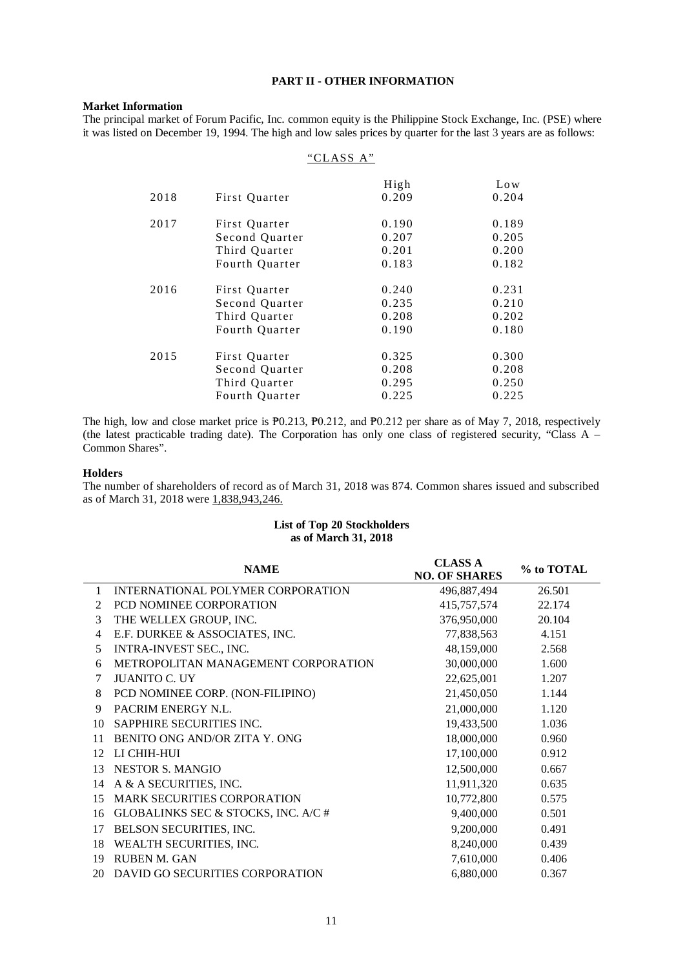# **PART II - OTHER INFORMATION**

#### **Market Information**

The principal market of Forum Pacific, Inc. common equity is the Philippine Stock Exchange, Inc. (PSE) where it was listed on December 19, 1994. The high and low sales prices by quarter for the last 3 years are as follows:

|      | "CLASS A"      |       |       |
|------|----------------|-------|-------|
|      |                | High  | Low   |
| 2018 | First Quarter  | 0.209 | 0.204 |
| 2017 | First Quarter  | 0.190 | 0.189 |
|      | Second Quarter | 0.207 | 0.205 |
|      | Third Quarter  | 0.201 | 0.200 |
|      | Fourth Quarter | 0.183 | 0.182 |
| 2016 | First Quarter  | 0.240 | 0.231 |
|      | Second Quarter | 0.235 | 0.210 |
|      | Third Quarter  | 0.208 | 0.202 |
|      | Fourth Quarter | 0.190 | 0.180 |
| 2015 | First Quarter  | 0.325 | 0.300 |
|      | Second Quarter | 0.208 | 0.208 |
|      | Third Quarter  | 0.295 | 0.250 |
|      | Fourth Quarter | 0.225 | 0.225 |
|      |                |       |       |

The high, low and close market price is  $\overline{P}0.213$ ,  $\overline{P}0.212$ , and  $\overline{P}0.212$  per share as of May 7, 2018, respectively (the latest practicable trading date). The Corporation has only one class of registered security, "Class A – Common Shares".

### **Holders**

The number of shareholders of record as of March 31, 2018 was 874. Common shares issued and subscribed as of March 31, 2018 were 1,838,943,246.

# **List of Top 20 Stockholders as of March 31, 2018**

|                | <b>NAME</b>                         | <b>CLASS A</b><br><b>NO. OF SHARES</b> | % to TOTAL |
|----------------|-------------------------------------|----------------------------------------|------------|
| 1              | INTERNATIONAL POLYMER CORPORATION   | 496,887,494                            | 26.501     |
| 2              | PCD NOMINEE CORPORATION             | 415,757,574                            | 22.174     |
| 3              | THE WELLEX GROUP, INC.              | 376,950,000                            | 20.104     |
| $\overline{4}$ | E.F. DURKEE & ASSOCIATES, INC.      | 77,838,563                             | 4.151      |
| 5              | INTRA-INVEST SEC., INC.             | 48,159,000                             | 2.568      |
| 6              | METROPOLITAN MANAGEMENT CORPORATION | 30,000,000                             | 1.600      |
| 7              | <b>JUANITO C. UY</b>                | 22,625,001                             | 1.207      |
| 8              | PCD NOMINEE CORP. (NON-FILIPINO)    | 21,450,050                             | 1.144      |
| 9              | PACRIM ENERGY N.L.                  | 21,000,000                             | 1.120      |
| 10             | SAPPHIRE SECURITIES INC.            | 19,433,500                             | 1.036      |
| 11             | BENITO ONG AND/OR ZITA Y. ONG       | 18,000,000                             | 0.960      |
| 12             | LI CHIH-HUI                         | 17,100,000                             | 0.912      |
| 13             | <b>NESTOR S. MANGIO</b>             | 12,500,000                             | 0.667      |
| 14             | A & A SECURITIES, INC.              | 11,911,320                             | 0.635      |
| 15             | <b>MARK SECURITIES CORPORATION</b>  | 10,772,800                             | 0.575      |
| 16             | GLOBALINKS SEC & STOCKS, INC. A/C # | 9,400,000                              | 0.501      |
| 17             | BELSON SECURITIES, INC.             | 9,200,000                              | 0.491      |
| 18             | WEALTH SECURITIES, INC.             | 8,240,000                              | 0.439      |
| 19             | RUBEN M. GAN                        | 7,610,000                              | 0.406      |
| 20             | DAVID GO SECURITIES CORPORATION     | 6,880,000                              | 0.367      |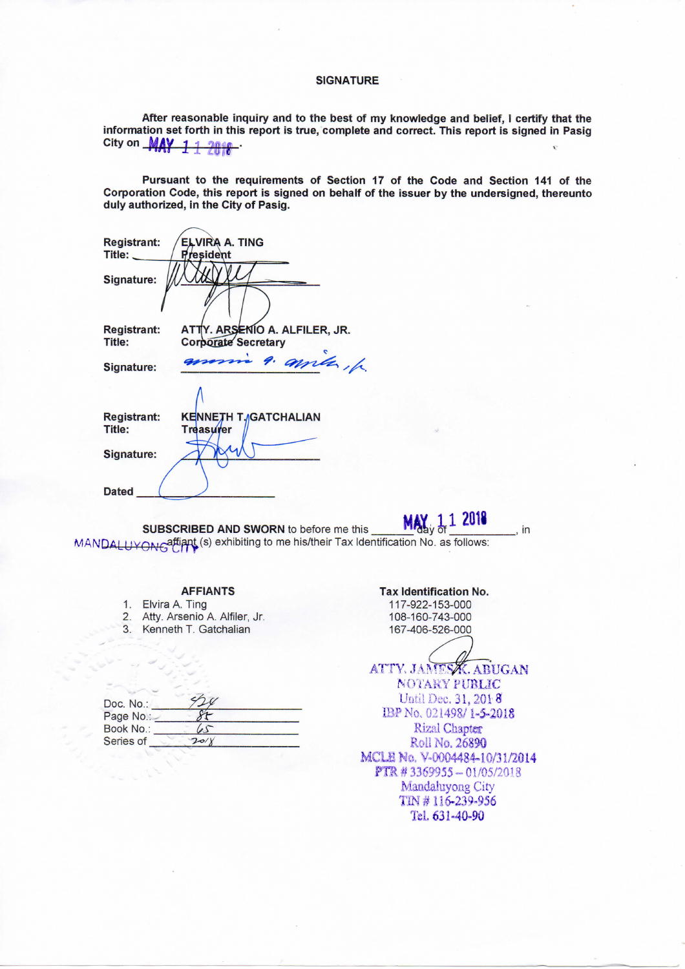#### **SIGNATURE**

After reasonable inquiry and to the best of my knowledge and belief, I certify that the information set forth in this report is true, complete and correct. This report is signed in Pasig City on **MAY 11 2018** 

Pursuant to the requirements of Section 17 of the Code and Section 141 of the Corporation Code, this report is signed on behalf of the issuer by the undersigned, thereunto duly authorized, in the City of Pasig.

| <b>Registrant:</b> | <b>ELVIRA A. TING</b>         |
|--------------------|-------------------------------|
| Title:             | <b>President</b>              |
| Signature:         |                               |
|                    |                               |
| <b>Registrant:</b> | ATTY. ARSENIO A. ALFILER, JR. |
| Title:             | <b>Corporate Secretary</b>    |
| Signature:         | morris 9. amiles, h           |
|                    |                               |
| <b>Registrant:</b> | <b>KENNETH T./GATCHALIAN</b>  |
| Title:             | Treasurer                     |
|                    |                               |
| Signature:         |                               |
|                    |                               |
|                    |                               |
| <b>Dated</b>       |                               |
|                    |                               |

MAY<sub>dy</sub> d SUBSCRIBED AND SWORN to before me this MANDAL ITVONCAffiant (s) exhibiting to me his/their Tax Identification No. as follows:

# **AFFIANTS**

- 1. Elvira A. Ting
- 2. Atty. Arsenio A. Alfiler, Jr.
- 3. Kenneth T. Gatchalian

| Doc. No.: |           |  |
|-----------|-----------|--|
| Page No.: |           |  |
| Book No.: | $\lambda$ |  |
| Series of | 20/       |  |

#### **Tax Identification No.**

in

117-922-153-000 108-160-743-000 167-406-526-000

ATTY. JAMESK. ABUGAN NOTARY PUBLIC Until Dec. 31, 2018 IBP No. 021498/1-5-2018 **Rizal Chapter** Roll No. 26890 MCLE No. V-0004484-10/31/2014 PTR #3369955-01/05/2018 Mandaluyong City TIN #116-239-956 Tel. 631-40-90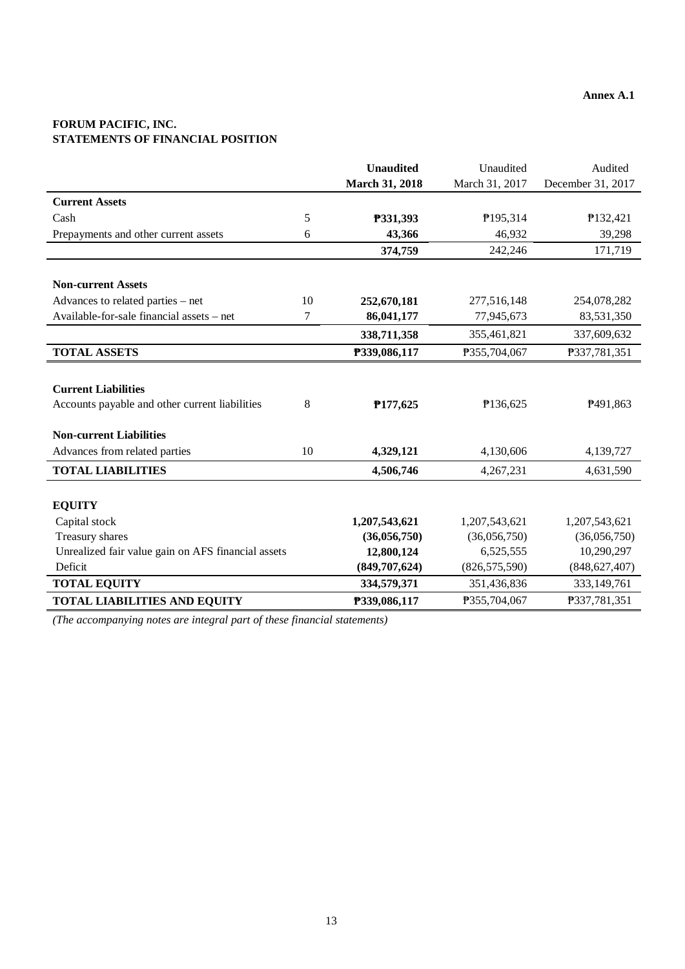# **FORUM PACIFIC, INC. STATEMENTS OF FINANCIAL POSITION**

|                                                    |    | <b>Unaudited</b> | Unaudited       | Audited           |
|----------------------------------------------------|----|------------------|-----------------|-------------------|
|                                                    |    | March 31, 2018   | March 31, 2017  | December 31, 2017 |
| <b>Current Assets</b>                              |    |                  |                 |                   |
| Cash                                               | 5  | P331,393         | P195,314        | P132,421          |
| Prepayments and other current assets               | 6  | 43,366           | 46,932          | 39,298            |
|                                                    |    | 374,759          | 242,246         | 171,719           |
|                                                    |    |                  |                 |                   |
| <b>Non-current Assets</b>                          |    |                  |                 |                   |
| Advances to related parties - net                  | 10 | 252,670,181      | 277,516,148     | 254,078,282       |
| Available-for-sale financial assets - net          | 7  | 86,041,177       | 77,945,673      | 83,531,350        |
|                                                    |    | 338,711,358      | 355,461,821     | 337,609,632       |
| <b>TOTAL ASSETS</b>                                |    | P339,086,117     | P355,704,067    | P337,781,351      |
|                                                    |    |                  |                 |                   |
| <b>Current Liabilities</b>                         |    |                  |                 |                   |
| Accounts payable and other current liabilities     | 8  | P177,625         | P136,625        | P491,863          |
|                                                    |    |                  |                 |                   |
| <b>Non-current Liabilities</b>                     |    |                  |                 |                   |
| Advances from related parties                      | 10 | 4,329,121        | 4,130,606       | 4,139,727         |
| <b>TOTAL LIABILITIES</b>                           |    | 4,506,746        | 4,267,231       | 4,631,590         |
|                                                    |    |                  |                 |                   |
| <b>EQUITY</b>                                      |    |                  |                 |                   |
| Capital stock                                      |    | 1,207,543,621    | 1,207,543,621   | 1,207,543,621     |
| Treasury shares                                    |    | (36,056,750)     | (36,056,750)    | (36,056,750)      |
| Unrealized fair value gain on AFS financial assets |    | 12,800,124       | 6,525,555       | 10,290,297        |
| Deficit                                            |    | (849,707,624)    | (826, 575, 590) | (848, 627, 407)   |
| <b>TOTAL EQUITY</b>                                |    | 334,579,371      | 351,436,836     | 333,149,761       |
| <b>TOTAL LIABILITIES AND EQUITY</b>                |    | P339,086,117     | P355,704,067    | P337,781,351      |

*(The accompanying notes are integral part of these financial statements)*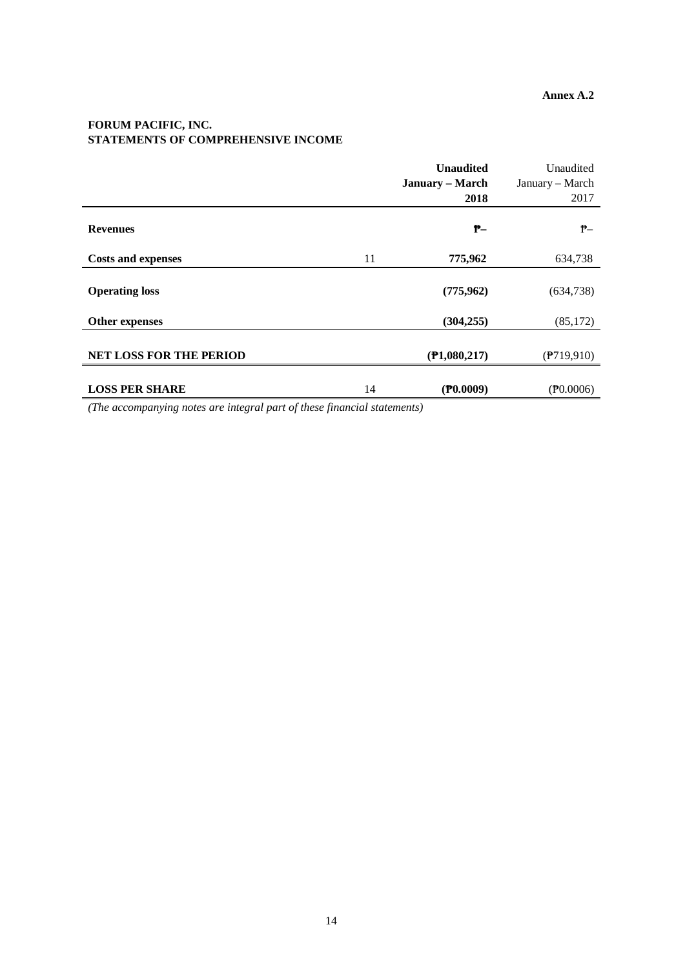# **FORUM PACIFIC, INC. STATEMENTS OF COMPREHENSIVE INCOME**

|                                |    | <b>Unaudited</b> | Unaudited          |
|--------------------------------|----|------------------|--------------------|
|                                |    | January – March  | January - March    |
|                                |    | 2018             | 2017               |
| <b>Revenues</b>                |    | $P -$            | $P-$               |
| <b>Costs and expenses</b>      | 11 | 775,962          | 634,738            |
| <b>Operating loss</b>          |    | (775, 962)       | (634, 738)         |
| Other expenses                 |    | (304, 255)       | (85, 172)          |
| <b>NET LOSS FOR THE PERIOD</b> |    | (P1,080,217)     | (P719,910)         |
| <b>LOSS PER SHARE</b>          | 14 | $($ P0.0009)     | $(\text{P}0.0006)$ |

*(The accompanying notes are integral part of these financial statements)*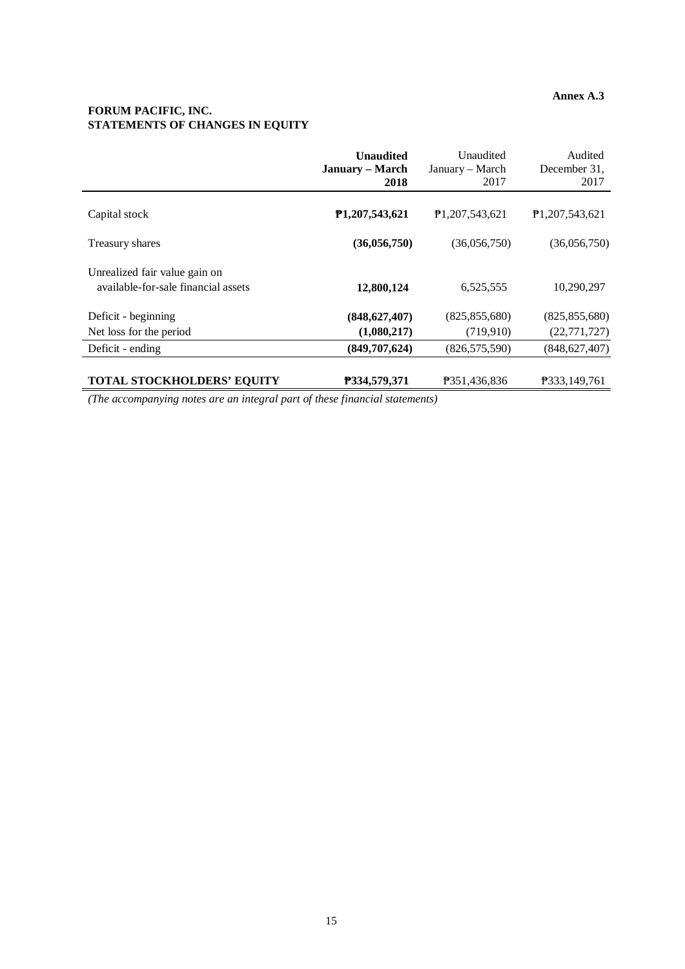# **Annex A.3**

# **FORUM PACIFIC, INC. STATEMENTS OF CHANGES IN EQUITY**

|                                                                      | <b>Unaudited</b><br>January – March<br>2018 | Unaudited<br>January - March<br>2017 | Audited<br>December 31,<br>2017 |
|----------------------------------------------------------------------|---------------------------------------------|--------------------------------------|---------------------------------|
| Capital stock                                                        | P <sub>1</sub> ,207,543,621                 | P <sub>1</sub> ,207,543,621          | <b>P1.207.543.621</b>           |
| Treasury shares                                                      | (36,056,750)                                | (36,056,750)                         | (36,056,750)                    |
| Unrealized fair value gain on<br>available-for-sale financial assets | 12,800,124                                  | 6,525,555                            | 10,290,297                      |
| Deficit - beginning                                                  | (848, 627, 407)                             | (825, 855, 680)                      | (825, 855, 680)                 |
| Net loss for the period                                              | (1,080,217)                                 | (719, 910)                           | (22, 771, 727)                  |
| Deficit - ending                                                     | (849,707,624)                               | (826, 575, 590)                      | (848, 627, 407)                 |
| <b>TOTAL STOCKHOLDERS' EQUITY</b>                                    | P334,579,371                                | P351,436,836                         | P333.149.761                    |

*(The accompanying notes are an integral part of these financial statements)*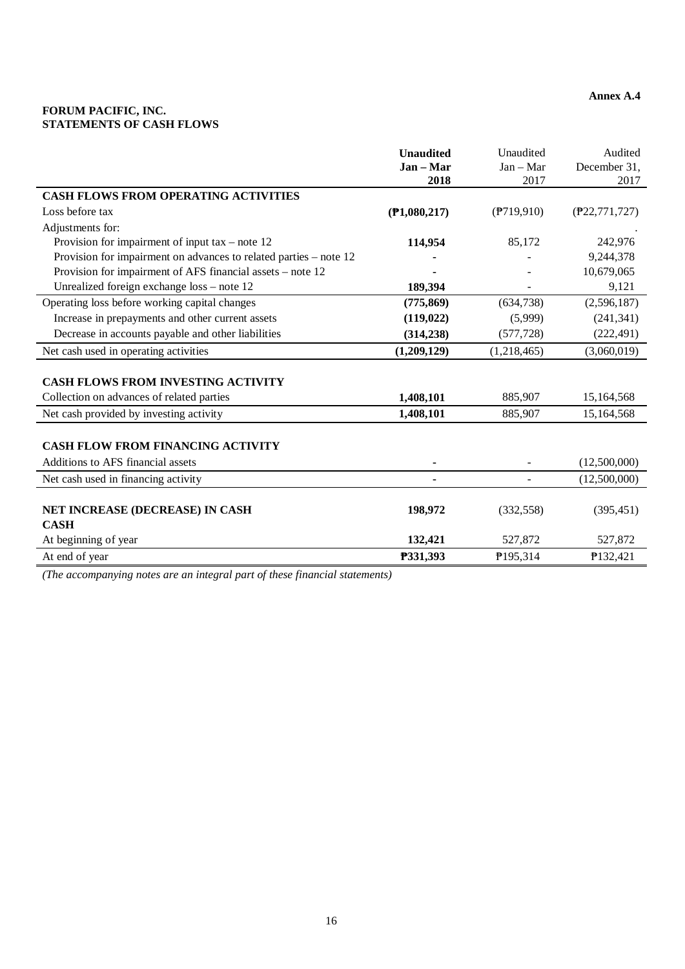# **FORUM PACIFIC, INC. STATEMENTS OF CASH FLOWS**

|                                                                   | <b>Unaudited</b> | Unaudited                | Audited         |
|-------------------------------------------------------------------|------------------|--------------------------|-----------------|
|                                                                   | Jan - Mar        | $Jan - Mar$              | December 31,    |
|                                                                   | 2018             | 2017                     | 2017            |
| <b>CASH FLOWS FROM OPERATING ACTIVITIES</b>                       |                  |                          |                 |
| Loss before tax                                                   | (P1,080,217)     | $($ ??19,910)            | (P22, 771, 727) |
| Adjustments for:                                                  |                  |                          |                 |
| Provision for impairment of input tax – note $12$                 | 114,954          | 85,172                   | 242,976         |
| Provision for impairment on advances to related parties – note 12 |                  |                          | 9,244,378       |
| Provision for impairment of AFS financial assets – note 12        |                  |                          | 10,679,065      |
| Unrealized foreign exchange loss - note 12                        | 189,394          |                          | 9,121           |
| Operating loss before working capital changes                     | (775, 869)       | (634, 738)               | (2,596,187)     |
| Increase in prepayments and other current assets                  | (119, 022)       | (5,999)                  | (241, 341)      |
| Decrease in accounts payable and other liabilities                | (314, 238)       | (577, 728)               | (222, 491)      |
| Net cash used in operating activities                             | (1,209,129)      | (1,218,465)              | (3,060,019)     |
|                                                                   |                  |                          |                 |
| <b>CASH FLOWS FROM INVESTING ACTIVITY</b>                         |                  |                          |                 |
| Collection on advances of related parties                         | 1,408,101        | 885,907                  | 15,164,568      |
| Net cash provided by investing activity                           | 1,408,101        | 885,907                  | 15,164,568      |
|                                                                   |                  |                          |                 |
| <b>CASH FLOW FROM FINANCING ACTIVITY</b>                          |                  |                          |                 |
| Additions to AFS financial assets                                 |                  |                          | (12,500,000)    |
| Net cash used in financing activity                               |                  | $\overline{\phantom{a}}$ | (12,500,000)    |
|                                                                   |                  |                          |                 |
| NET INCREASE (DECREASE) IN CASH                                   | 198,972          | (332, 558)               | (395, 451)      |
| <b>CASH</b>                                                       |                  |                          |                 |
| At beginning of year                                              | 132,421          | 527,872                  | 527,872         |
| At end of year                                                    | P331,393         | P195,314                 | P132,421        |

*(The accompanying notes are an integral part of these financial statements)*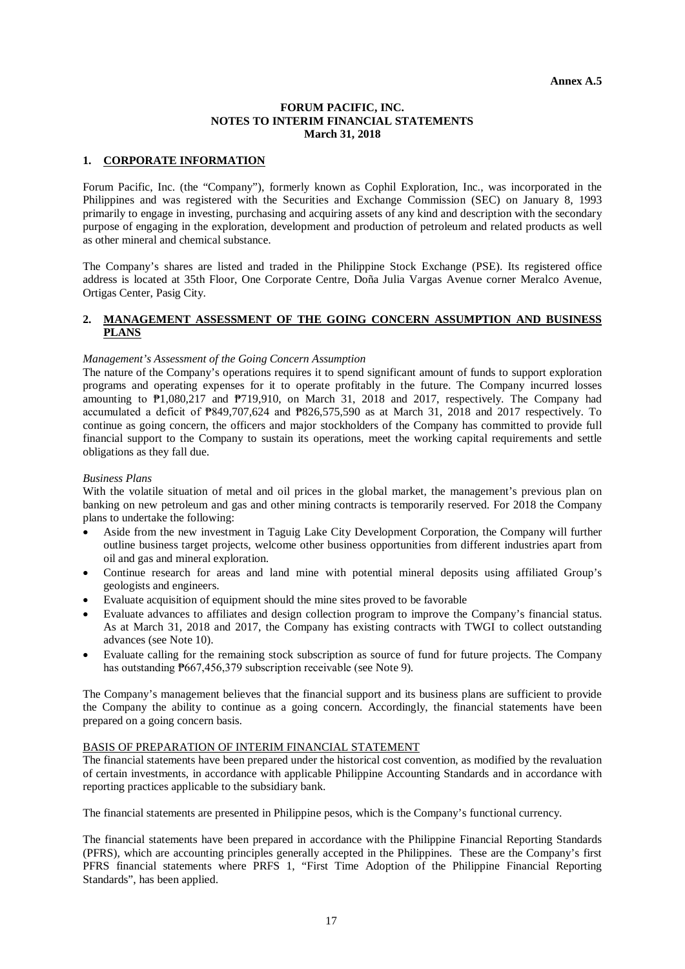### **FORUM PACIFIC, INC. NOTES TO INTERIM FINANCIAL STATEMENTS March 31, 2018**

### **1. CORPORATE INFORMATION**

Forum Pacific, Inc. (the "Company"), formerly known as Cophil Exploration, Inc., was incorporated in the Philippines and was registered with the Securities and Exchange Commission (SEC) on January 8, 1993 primarily to engage in investing, purchasing and acquiring assets of any kind and description with the secondary purpose of engaging in the exploration, development and production of petroleum and related products as well as other mineral and chemical substance.

The Company's shares are listed and traded in the Philippine Stock Exchange (PSE). Its registered office address is located at 35th Floor, One Corporate Centre, Doña Julia Vargas Avenue corner Meralco Avenue, Ortigas Center, Pasig City.

### **2. MANAGEMENT ASSESSMENT OF THE GOING CONCERN ASSUMPTION AND BUSINESS PLANS**

### *Management's Assessment of the Going Concern Assumption*

The nature of the Company's operations requires it to spend significant amount of funds to support exploration programs and operating expenses for it to operate profitably in the future. The Company incurred losses amounting to ₱1,080,217 and ₱719,910, on March 31, 2018 and 2017, respectively. The Company had accumulated a deficit of ₱849,707,624 and ₱826,575,590 as at March 31, 2018 and 2017 respectively. To continue as going concern, the officers and major stockholders of the Company has committed to provide full financial support to the Company to sustain its operations, meet the working capital requirements and settle obligations as they fall due.

#### *Business Plans*

With the volatile situation of metal and oil prices in the global market, the management's previous plan on banking on new petroleum and gas and other mining contracts is temporarily reserved. For 2018 the Company plans to undertake the following:

- Aside from the new investment in Taguig Lake City Development Corporation, the Company will further outline business target projects, welcome other business opportunities from different industries apart from oil and gas and mineral exploration.
- Continue research for areas and land mine with potential mineral deposits using affiliated Group's geologists and engineers.
- Evaluate acquisition of equipment should the mine sites proved to be favorable
- Evaluate advances to affiliates and design collection program to improve the Company's financial status. As at March 31, 2018 and 2017, the Company has existing contracts with TWGI to collect outstanding advances (see Note 10).
- Evaluate calling for the remaining stock subscription as source of fund for future projects. The Company has outstanding  $P667,456,379$  subscription receivable (see Note 9).

The Company's management believes that the financial support and its business plans are sufficient to provide the Company the ability to continue as a going concern. Accordingly, the financial statements have been prepared on a going concern basis.

### BASIS OF PREPARATION OF INTERIM FINANCIAL STATEMENT

The financial statements have been prepared under the historical cost convention, as modified by the revaluation of certain investments, in accordance with applicable Philippine Accounting Standards and in accordance with reporting practices applicable to the subsidiary bank.

The financial statements are presented in Philippine pesos, which is the Company's functional currency.

The financial statements have been prepared in accordance with the Philippine Financial Reporting Standards (PFRS), which are accounting principles generally accepted in the Philippines. These are the Company's first PFRS financial statements where PRFS 1, "First Time Adoption of the Philippine Financial Reporting Standards", has been applied.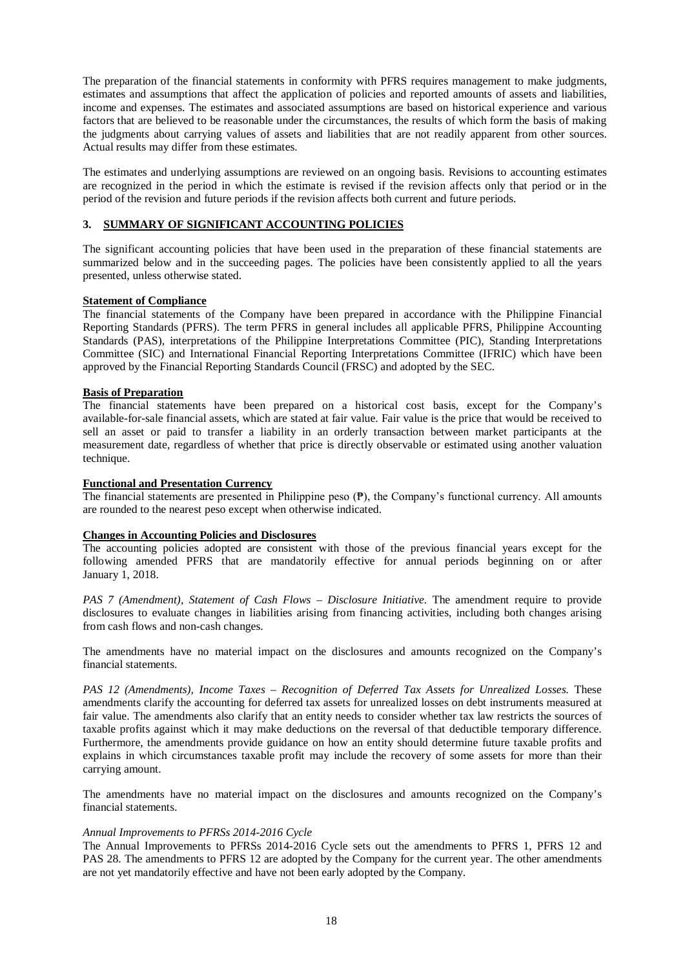The preparation of the financial statements in conformity with PFRS requires management to make judgments, estimates and assumptions that affect the application of policies and reported amounts of assets and liabilities, income and expenses. The estimates and associated assumptions are based on historical experience and various factors that are believed to be reasonable under the circumstances, the results of which form the basis of making the judgments about carrying values of assets and liabilities that are not readily apparent from other sources. Actual results may differ from these estimates.

The estimates and underlying assumptions are reviewed on an ongoing basis. Revisions to accounting estimates are recognized in the period in which the estimate is revised if the revision affects only that period or in the period of the revision and future periods if the revision affects both current and future periods.

# **3. SUMMARY OF SIGNIFICANT ACCOUNTING POLICIES**

The significant accounting policies that have been used in the preparation of these financial statements are summarized below and in the succeeding pages. The policies have been consistently applied to all the years presented, unless otherwise stated.

# **Statement of Compliance**

The financial statements of the Company have been prepared in accordance with the Philippine Financial Reporting Standards (PFRS). The term PFRS in general includes all applicable PFRS, Philippine Accounting Standards (PAS), interpretations of the Philippine Interpretations Committee (PIC), Standing Interpretations Committee (SIC) and International Financial Reporting Interpretations Committee (IFRIC) which have been approved by the Financial Reporting Standards Council (FRSC) and adopted by the SEC.

### **Basis of Preparation**

The financial statements have been prepared on a historical cost basis, except for the Company's available-for-sale financial assets, which are stated at fair value. Fair value is the price that would be received to sell an asset or paid to transfer a liability in an orderly transaction between market participants at the measurement date, regardless of whether that price is directly observable or estimated using another valuation technique.

#### **Functional and Presentation Currency**

The financial statements are presented in Philippine peso (₱), the Company's functional currency. All amounts are rounded to the nearest peso except when otherwise indicated.

# **Changes in Accounting Policies and Disclosures**

The accounting policies adopted are consistent with those of the previous financial years except for the following amended PFRS that are mandatorily effective for annual periods beginning on or after January 1, 2018.

*PAS 7 (Amendment), Statement of Cash Flows – Disclosure Initiative.* The amendment require to provide disclosures to evaluate changes in liabilities arising from financing activities, including both changes arising from cash flows and non-cash changes.

The amendments have no material impact on the disclosures and amounts recognized on the Company's financial statements.

*PAS 12 (Amendments), Income Taxes – Recognition of Deferred Tax Assets for Unrealized Losses.* These amendments clarify the accounting for deferred tax assets for unrealized losses on debt instruments measured at fair value. The amendments also clarify that an entity needs to consider whether tax law restricts the sources of taxable profits against which it may make deductions on the reversal of that deductible temporary difference. Furthermore, the amendments provide guidance on how an entity should determine future taxable profits and explains in which circumstances taxable profit may include the recovery of some assets for more than their carrying amount.

The amendments have no material impact on the disclosures and amounts recognized on the Company's financial statements.

#### *Annual Improvements to PFRSs 2014-2016 Cycle*

The Annual Improvements to PFRSs 2014-2016 Cycle sets out the amendments to PFRS 1, PFRS 12 and PAS 28. The amendments to PFRS 12 are adopted by the Company for the current year. The other amendments are not yet mandatorily effective and have not been early adopted by the Company.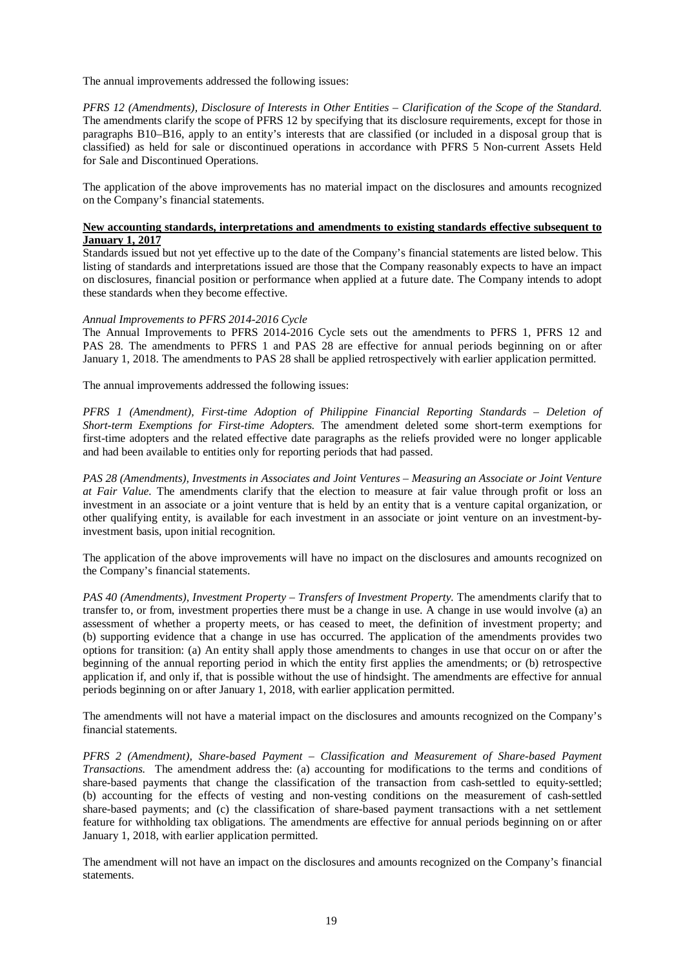The annual improvements addressed the following issues:

*PFRS 12 (Amendments), Disclosure of Interests in Other Entities – Clarification of the Scope of the Standard.*  The amendments clarify the scope of PFRS 12 by specifying that its disclosure requirements, except for those in paragraphs B10–B16, apply to an entity's interests that are classified (or included in a disposal group that is classified) as held for sale or discontinued operations in accordance with PFRS 5 Non-current Assets Held for Sale and Discontinued Operations.

The application of the above improvements has no material impact on the disclosures and amounts recognized on the Company's financial statements.

# **New accounting standards, interpretations and amendments to existing standards effective subsequent to January 1, 2017**

Standards issued but not yet effective up to the date of the Company's financial statements are listed below. This listing of standards and interpretations issued are those that the Company reasonably expects to have an impact on disclosures, financial position or performance when applied at a future date. The Company intends to adopt these standards when they become effective.

#### *Annual Improvements to PFRS 2014-2016 Cycle*

The Annual Improvements to PFRS 2014-2016 Cycle sets out the amendments to PFRS 1, PFRS 12 and PAS 28. The amendments to PFRS 1 and PAS 28 are effective for annual periods beginning on or after January 1, 2018. The amendments to PAS 28 shall be applied retrospectively with earlier application permitted.

The annual improvements addressed the following issues:

*PFRS 1 (Amendment), First-time Adoption of Philippine Financial Reporting Standards – Deletion of Short-term Exemptions for First-time Adopters.* The amendment deleted some short-term exemptions for first-time adopters and the related effective date paragraphs as the reliefs provided were no longer applicable and had been available to entities only for reporting periods that had passed.

*PAS 28 (Amendments), Investments in Associates and Joint Ventures – Measuring an Associate or Joint Venture at Fair Value.* The amendments clarify that the election to measure at fair value through profit or loss an investment in an associate or a joint venture that is held by an entity that is a venture capital organization, or other qualifying entity, is available for each investment in an associate or joint venture on an investment-byinvestment basis, upon initial recognition.

The application of the above improvements will have no impact on the disclosures and amounts recognized on the Company's financial statements.

*PAS 40 (Amendments), Investment Property – Transfers of Investment Property.* The amendments clarify that to transfer to, or from, investment properties there must be a change in use. A change in use would involve (a) an assessment of whether a property meets, or has ceased to meet, the definition of investment property; and (b) supporting evidence that a change in use has occurred. The application of the amendments provides two options for transition: (a) An entity shall apply those amendments to changes in use that occur on or after the beginning of the annual reporting period in which the entity first applies the amendments; or (b) retrospective application if, and only if, that is possible without the use of hindsight. The amendments are effective for annual periods beginning on or after January 1, 2018, with earlier application permitted.

The amendments will not have a material impact on the disclosures and amounts recognized on the Company's financial statements.

*PFRS 2 (Amendment), Share-based Payment – Classification and Measurement of Share-based Payment Transactions.* The amendment address the: (a) accounting for modifications to the terms and conditions of share-based payments that change the classification of the transaction from cash-settled to equity-settled; (b) accounting for the effects of vesting and non-vesting conditions on the measurement of cash-settled share-based payments; and (c) the classification of share-based payment transactions with a net settlement feature for withholding tax obligations. The amendments are effective for annual periods beginning on or after January 1, 2018, with earlier application permitted.

The amendment will not have an impact on the disclosures and amounts recognized on the Company's financial statements.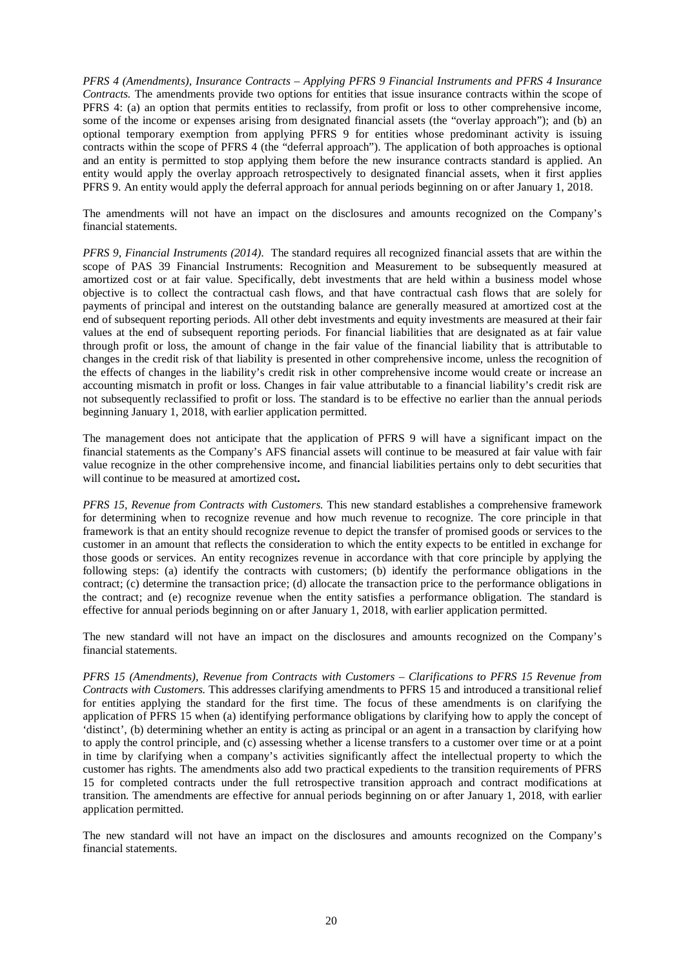*PFRS 4 (Amendments), Insurance Contracts – Applying PFRS 9 Financial Instruments and PFRS 4 Insurance Contracts.* The amendments provide two options for entities that issue insurance contracts within the scope of PFRS 4: (a) an option that permits entities to reclassify, from profit or loss to other comprehensive income, some of the income or expenses arising from designated financial assets (the "overlay approach"); and (b) an optional temporary exemption from applying PFRS 9 for entities whose predominant activity is issuing contracts within the scope of PFRS 4 (the "deferral approach"). The application of both approaches is optional and an entity is permitted to stop applying them before the new insurance contracts standard is applied. An entity would apply the overlay approach retrospectively to designated financial assets, when it first applies PFRS 9. An entity would apply the deferral approach for annual periods beginning on or after January 1, 2018.

The amendments will not have an impact on the disclosures and amounts recognized on the Company's financial statements.

*PFRS 9, Financial Instruments (2014).* The standard requires all recognized financial assets that are within the scope of PAS 39 Financial Instruments: Recognition and Measurement to be subsequently measured at amortized cost or at fair value. Specifically, debt investments that are held within a business model whose objective is to collect the contractual cash flows, and that have contractual cash flows that are solely for payments of principal and interest on the outstanding balance are generally measured at amortized cost at the end of subsequent reporting periods. All other debt investments and equity investments are measured at their fair values at the end of subsequent reporting periods. For financial liabilities that are designated as at fair value through profit or loss, the amount of change in the fair value of the financial liability that is attributable to changes in the credit risk of that liability is presented in other comprehensive income, unless the recognition of the effects of changes in the liability's credit risk in other comprehensive income would create or increase an accounting mismatch in profit or loss. Changes in fair value attributable to a financial liability's credit risk are not subsequently reclassified to profit or loss. The standard is to be effective no earlier than the annual periods beginning January 1, 2018, with earlier application permitted.

The management does not anticipate that the application of PFRS 9 will have a significant impact on the financial statements as the Company's AFS financial assets will continue to be measured at fair value with fair value recognize in the other comprehensive income, and financial liabilities pertains only to debt securities that will continue to be measured at amortized cost**.**

*PFRS 15, Revenue from Contracts with Customers.* This new standard establishes a comprehensive framework for determining when to recognize revenue and how much revenue to recognize. The core principle in that framework is that an entity should recognize revenue to depict the transfer of promised goods or services to the customer in an amount that reflects the consideration to which the entity expects to be entitled in exchange for those goods or services. An entity recognizes revenue in accordance with that core principle by applying the following steps: (a) identify the contracts with customers; (b) identify the performance obligations in the contract; (c) determine the transaction price; (d) allocate the transaction price to the performance obligations in the contract; and (e) recognize revenue when the entity satisfies a performance obligation. The standard is effective for annual periods beginning on or after January 1, 2018, with earlier application permitted.

The new standard will not have an impact on the disclosures and amounts recognized on the Company's financial statements.

*PFRS 15 (Amendments), Revenue from Contracts with Customers – Clarifications to PFRS 15 Revenue from Contracts with Customers.* This addresses clarifying amendments to PFRS 15 and introduced a transitional relief for entities applying the standard for the first time. The focus of these amendments is on clarifying the application of PFRS 15 when (a) identifying performance obligations by clarifying how to apply the concept of 'distinct', (b) determining whether an entity is acting as principal or an agent in a transaction by clarifying how to apply the control principle, and (c) assessing whether a license transfers to a customer over time or at a point in time by clarifying when a company's activities significantly affect the intellectual property to which the customer has rights. The amendments also add two practical expedients to the transition requirements of PFRS 15 for completed contracts under the full retrospective transition approach and contract modifications at transition. The amendments are effective for annual periods beginning on or after January 1, 2018, with earlier application permitted.

The new standard will not have an impact on the disclosures and amounts recognized on the Company's financial statements.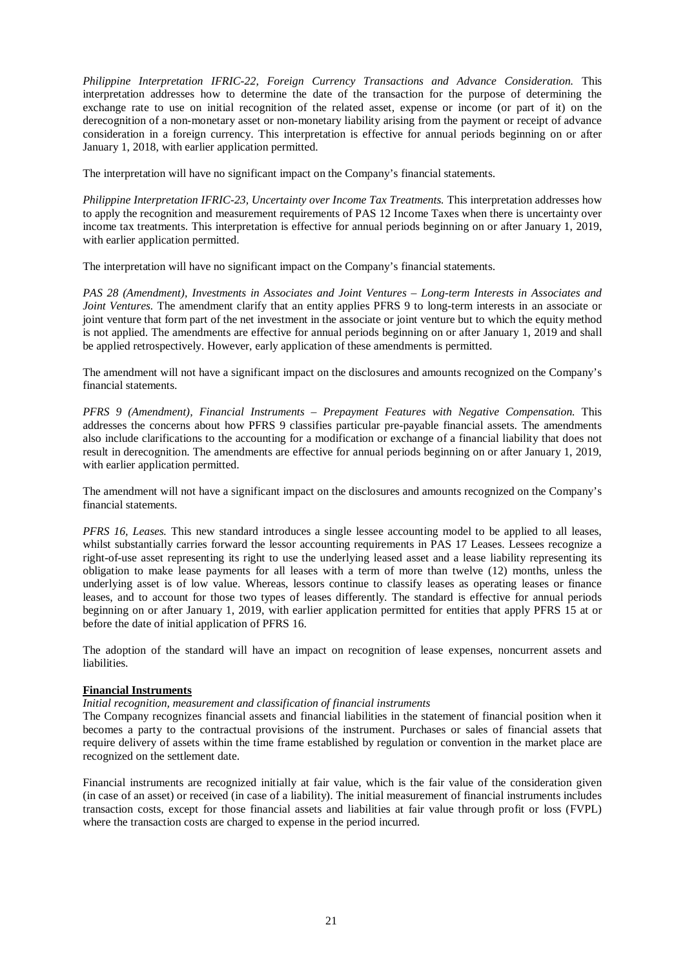*Philippine Interpretation IFRIC-22, Foreign Currency Transactions and Advance Consideration.* This interpretation addresses how to determine the date of the transaction for the purpose of determining the exchange rate to use on initial recognition of the related asset, expense or income (or part of it) on the derecognition of a non-monetary asset or non-monetary liability arising from the payment or receipt of advance consideration in a foreign currency. This interpretation is effective for annual periods beginning on or after January 1, 2018, with earlier application permitted.

The interpretation will have no significant impact on the Company's financial statements.

*Philippine Interpretation IFRIC-23, Uncertainty over Income Tax Treatments.* This interpretation addresses how to apply the recognition and measurement requirements of PAS 12 Income Taxes when there is uncertainty over income tax treatments. This interpretation is effective for annual periods beginning on or after January 1, 2019, with earlier application permitted.

The interpretation will have no significant impact on the Company's financial statements.

*PAS 28 (Amendment), Investments in Associates and Joint Ventures – Long-term Interests in Associates and Joint Ventures*. The amendment clarify that an entity applies PFRS 9 to long-term interests in an associate or joint venture that form part of the net investment in the associate or joint venture but to which the equity method is not applied. The amendments are effective for annual periods beginning on or after January 1, 2019 and shall be applied retrospectively. However, early application of these amendments is permitted.

The amendment will not have a significant impact on the disclosures and amounts recognized on the Company's financial statements.

*PFRS 9 (Amendment), Financial Instruments – Prepayment Features with Negative Compensation.* This addresses the concerns about how PFRS 9 classifies particular pre-payable financial assets. The amendments also include clarifications to the accounting for a modification or exchange of a financial liability that does not result in derecognition. The amendments are effective for annual periods beginning on or after January 1, 2019, with earlier application permitted.

The amendment will not have a significant impact on the disclosures and amounts recognized on the Company's financial statements.

*PFRS 16, Leases.* This new standard introduces a single lessee accounting model to be applied to all leases, whilst substantially carries forward the lessor accounting requirements in PAS 17 Leases. Lessees recognize a right-of-use asset representing its right to use the underlying leased asset and a lease liability representing its obligation to make lease payments for all leases with a term of more than twelve (12) months, unless the underlying asset is of low value. Whereas, lessors continue to classify leases as operating leases or finance leases, and to account for those two types of leases differently. The standard is effective for annual periods beginning on or after January 1, 2019, with earlier application permitted for entities that apply PFRS 15 at or before the date of initial application of PFRS 16.

The adoption of the standard will have an impact on recognition of lease expenses, noncurrent assets and **liabilities** 

# **Financial Instruments**

#### *Initial recognition, measurement and classification of financial instruments*

The Company recognizes financial assets and financial liabilities in the statement of financial position when it becomes a party to the contractual provisions of the instrument. Purchases or sales of financial assets that require delivery of assets within the time frame established by regulation or convention in the market place are recognized on the settlement date.

Financial instruments are recognized initially at fair value, which is the fair value of the consideration given (in case of an asset) or received (in case of a liability). The initial measurement of financial instruments includes transaction costs, except for those financial assets and liabilities at fair value through profit or loss (FVPL) where the transaction costs are charged to expense in the period incurred.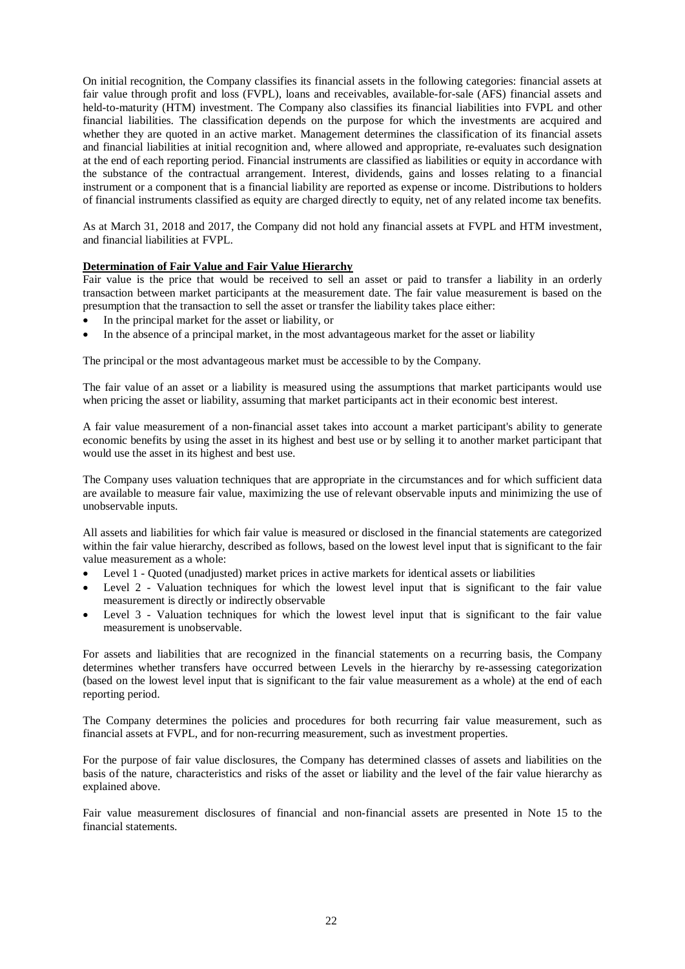On initial recognition, the Company classifies its financial assets in the following categories: financial assets at fair value through profit and loss (FVPL), loans and receivables, available-for-sale (AFS) financial assets and held-to-maturity (HTM) investment. The Company also classifies its financial liabilities into FVPL and other financial liabilities. The classification depends on the purpose for which the investments are acquired and whether they are quoted in an active market. Management determines the classification of its financial assets and financial liabilities at initial recognition and, where allowed and appropriate, re-evaluates such designation at the end of each reporting period. Financial instruments are classified as liabilities or equity in accordance with the substance of the contractual arrangement. Interest, dividends, gains and losses relating to a financial instrument or a component that is a financial liability are reported as expense or income. Distributions to holders of financial instruments classified as equity are charged directly to equity, net of any related income tax benefits.

As at March 31, 2018 and 2017, the Company did not hold any financial assets at FVPL and HTM investment, and financial liabilities at FVPL.

# **Determination of Fair Value and Fair Value Hierarchy**

Fair value is the price that would be received to sell an asset or paid to transfer a liability in an orderly transaction between market participants at the measurement date. The fair value measurement is based on the presumption that the transaction to sell the asset or transfer the liability takes place either:

- In the principal market for the asset or liability, or
- In the absence of a principal market, in the most advantageous market for the asset or liability

The principal or the most advantageous market must be accessible to by the Company.

The fair value of an asset or a liability is measured using the assumptions that market participants would use when pricing the asset or liability, assuming that market participants act in their economic best interest.

A fair value measurement of a non-financial asset takes into account a market participant's ability to generate economic benefits by using the asset in its highest and best use or by selling it to another market participant that would use the asset in its highest and best use.

The Company uses valuation techniques that are appropriate in the circumstances and for which sufficient data are available to measure fair value, maximizing the use of relevant observable inputs and minimizing the use of unobservable inputs.

All assets and liabilities for which fair value is measured or disclosed in the financial statements are categorized within the fair value hierarchy, described as follows, based on the lowest level input that is significant to the fair value measurement as a whole:

- Level 1 Quoted (unadjusted) market prices in active markets for identical assets or liabilities
- Level 2 Valuation techniques for which the lowest level input that is significant to the fair value measurement is directly or indirectly observable
- Level 3 Valuation techniques for which the lowest level input that is significant to the fair value measurement is unobservable.

For assets and liabilities that are recognized in the financial statements on a recurring basis, the Company determines whether transfers have occurred between Levels in the hierarchy by re-assessing categorization (based on the lowest level input that is significant to the fair value measurement as a whole) at the end of each reporting period.

The Company determines the policies and procedures for both recurring fair value measurement, such as financial assets at FVPL, and for non-recurring measurement, such as investment properties.

For the purpose of fair value disclosures, the Company has determined classes of assets and liabilities on the basis of the nature, characteristics and risks of the asset or liability and the level of the fair value hierarchy as explained above.

Fair value measurement disclosures of financial and non-financial assets are presented in Note 15 to the financial statements.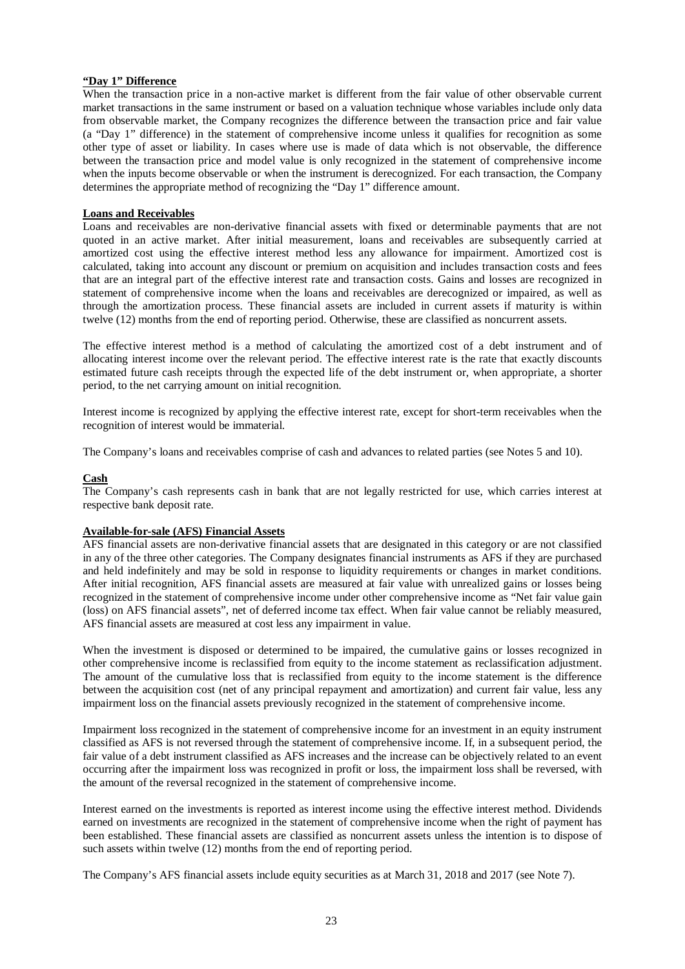## **"Day 1" Difference**

When the transaction price in a non-active market is different from the fair value of other observable current market transactions in the same instrument or based on a valuation technique whose variables include only data from observable market, the Company recognizes the difference between the transaction price and fair value (a "Day 1" difference) in the statement of comprehensive income unless it qualifies for recognition as some other type of asset or liability. In cases where use is made of data which is not observable, the difference between the transaction price and model value is only recognized in the statement of comprehensive income when the inputs become observable or when the instrument is derecognized. For each transaction, the Company determines the appropriate method of recognizing the "Day 1" difference amount.

### **Loans and Receivables**

Loans and receivables are non-derivative financial assets with fixed or determinable payments that are not quoted in an active market. After initial measurement, loans and receivables are subsequently carried at amortized cost using the effective interest method less any allowance for impairment. Amortized cost is calculated, taking into account any discount or premium on acquisition and includes transaction costs and fees that are an integral part of the effective interest rate and transaction costs. Gains and losses are recognized in statement of comprehensive income when the loans and receivables are derecognized or impaired, as well as through the amortization process. These financial assets are included in current assets if maturity is within twelve (12) months from the end of reporting period. Otherwise, these are classified as noncurrent assets.

The effective interest method is a method of calculating the amortized cost of a debt instrument and of allocating interest income over the relevant period. The effective interest rate is the rate that exactly discounts estimated future cash receipts through the expected life of the debt instrument or, when appropriate, a shorter period, to the net carrying amount on initial recognition.

Interest income is recognized by applying the effective interest rate, except for short-term receivables when the recognition of interest would be immaterial.

The Company's loans and receivables comprise of cash and advances to related parties (see Notes 5 and 10).

### **Cash**

The Company's cash represents cash in bank that are not legally restricted for use, which carries interest at respective bank deposit rate.

#### **Available-for-sale (AFS) Financial Assets**

AFS financial assets are non-derivative financial assets that are designated in this category or are not classified in any of the three other categories. The Company designates financial instruments as AFS if they are purchased and held indefinitely and may be sold in response to liquidity requirements or changes in market conditions. After initial recognition, AFS financial assets are measured at fair value with unrealized gains or losses being recognized in the statement of comprehensive income under other comprehensive income as "Net fair value gain (loss) on AFS financial assets", net of deferred income tax effect. When fair value cannot be reliably measured, AFS financial assets are measured at cost less any impairment in value.

When the investment is disposed or determined to be impaired, the cumulative gains or losses recognized in other comprehensive income is reclassified from equity to the income statement as reclassification adjustment. The amount of the cumulative loss that is reclassified from equity to the income statement is the difference between the acquisition cost (net of any principal repayment and amortization) and current fair value, less any impairment loss on the financial assets previously recognized in the statement of comprehensive income.

Impairment loss recognized in the statement of comprehensive income for an investment in an equity instrument classified as AFS is not reversed through the statement of comprehensive income. If, in a subsequent period, the fair value of a debt instrument classified as AFS increases and the increase can be objectively related to an event occurring after the impairment loss was recognized in profit or loss, the impairment loss shall be reversed, with the amount of the reversal recognized in the statement of comprehensive income.

Interest earned on the investments is reported as interest income using the effective interest method. Dividends earned on investments are recognized in the statement of comprehensive income when the right of payment has been established. These financial assets are classified as noncurrent assets unless the intention is to dispose of such assets within twelve (12) months from the end of reporting period.

The Company's AFS financial assets include equity securities as at March 31, 2018 and 2017 (see Note 7).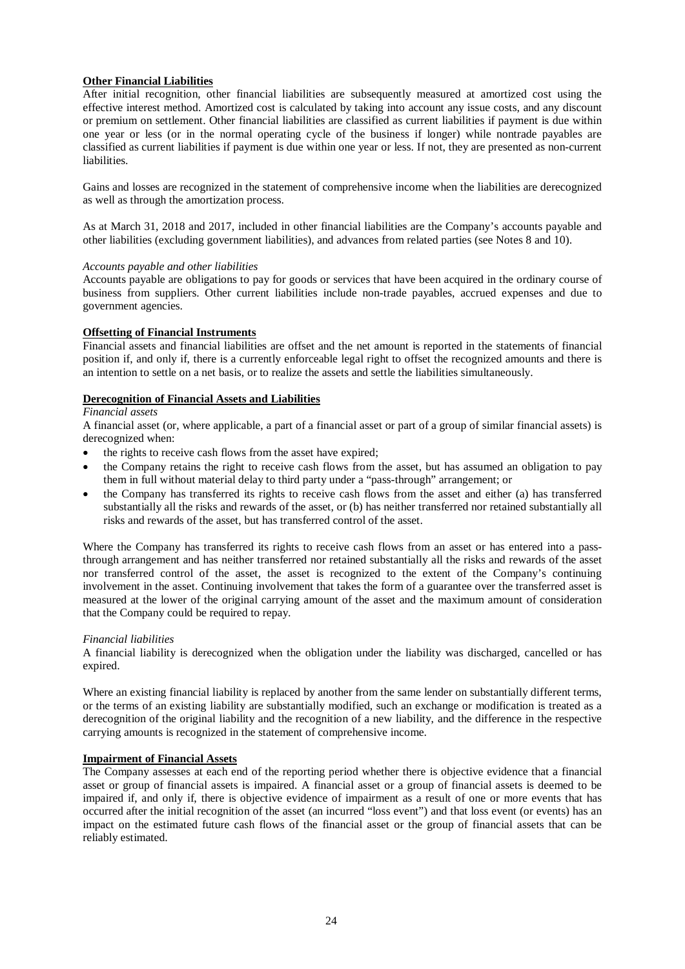# **Other Financial Liabilities**

After initial recognition, other financial liabilities are subsequently measured at amortized cost using the effective interest method. Amortized cost is calculated by taking into account any issue costs, and any discount or premium on settlement. Other financial liabilities are classified as current liabilities if payment is due within one year or less (or in the normal operating cycle of the business if longer) while nontrade payables are classified as current liabilities if payment is due within one year or less. If not, they are presented as non-current liabilities.

Gains and losses are recognized in the statement of comprehensive income when the liabilities are derecognized as well as through the amortization process.

As at March 31, 2018 and 2017, included in other financial liabilities are the Company's accounts payable and other liabilities (excluding government liabilities), and advances from related parties (see Notes 8 and 10).

### *Accounts payable and other liabilities*

Accounts payable are obligations to pay for goods or services that have been acquired in the ordinary course of business from suppliers. Other current liabilities include non-trade payables, accrued expenses and due to government agencies.

# **Offsetting of Financial Instruments**

Financial assets and financial liabilities are offset and the net amount is reported in the statements of financial position if, and only if, there is a currently enforceable legal right to offset the recognized amounts and there is an intention to settle on a net basis, or to realize the assets and settle the liabilities simultaneously.

### **Derecognition of Financial Assets and Liabilities**

#### *Financial assets*

A financial asset (or, where applicable, a part of a financial asset or part of a group of similar financial assets) is derecognized when:

- the rights to receive cash flows from the asset have expired;
- the Company retains the right to receive cash flows from the asset, but has assumed an obligation to pay them in full without material delay to third party under a "pass-through" arrangement; or
- the Company has transferred its rights to receive cash flows from the asset and either (a) has transferred substantially all the risks and rewards of the asset, or (b) has neither transferred nor retained substantially all risks and rewards of the asset, but has transferred control of the asset.

Where the Company has transferred its rights to receive cash flows from an asset or has entered into a passthrough arrangement and has neither transferred nor retained substantially all the risks and rewards of the asset nor transferred control of the asset, the asset is recognized to the extent of the Company's continuing involvement in the asset. Continuing involvement that takes the form of a guarantee over the transferred asset is measured at the lower of the original carrying amount of the asset and the maximum amount of consideration that the Company could be required to repay.

# *Financial liabilities*

A financial liability is derecognized when the obligation under the liability was discharged, cancelled or has expired.

Where an existing financial liability is replaced by another from the same lender on substantially different terms, or the terms of an existing liability are substantially modified, such an exchange or modification is treated as a derecognition of the original liability and the recognition of a new liability, and the difference in the respective carrying amounts is recognized in the statement of comprehensive income.

## **Impairment of Financial Assets**

The Company assesses at each end of the reporting period whether there is objective evidence that a financial asset or group of financial assets is impaired. A financial asset or a group of financial assets is deemed to be impaired if, and only if, there is objective evidence of impairment as a result of one or more events that has occurred after the initial recognition of the asset (an incurred "loss event") and that loss event (or events) has an impact on the estimated future cash flows of the financial asset or the group of financial assets that can be reliably estimated.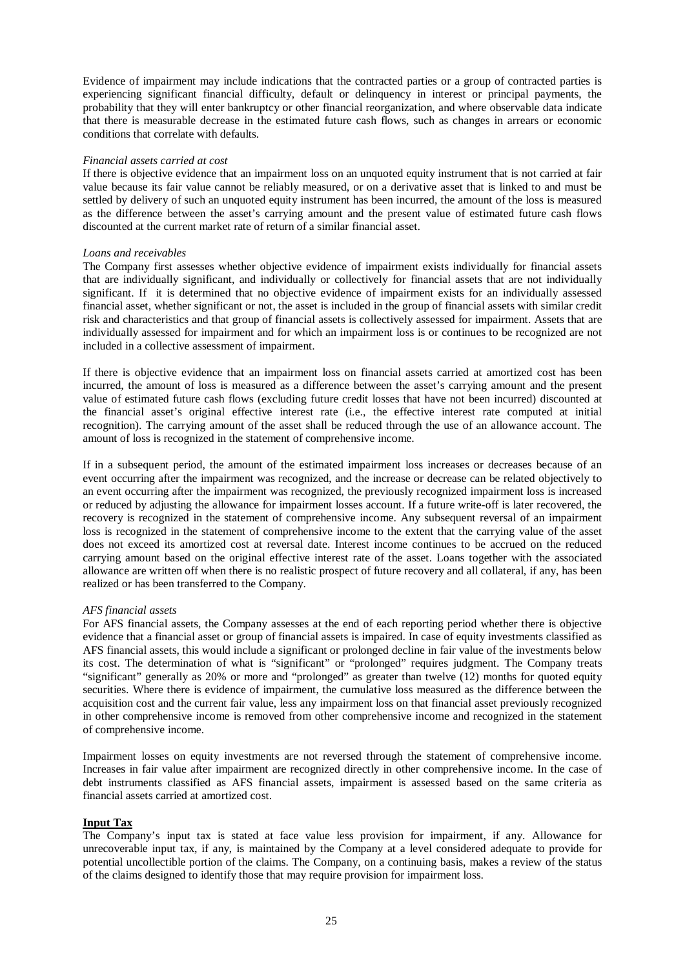Evidence of impairment may include indications that the contracted parties or a group of contracted parties is experiencing significant financial difficulty, default or delinquency in interest or principal payments, the probability that they will enter bankruptcy or other financial reorganization, and where observable data indicate that there is measurable decrease in the estimated future cash flows, such as changes in arrears or economic conditions that correlate with defaults.

#### *Financial assets carried at cost*

If there is objective evidence that an impairment loss on an unquoted equity instrument that is not carried at fair value because its fair value cannot be reliably measured, or on a derivative asset that is linked to and must be settled by delivery of such an unquoted equity instrument has been incurred, the amount of the loss is measured as the difference between the asset's carrying amount and the present value of estimated future cash flows discounted at the current market rate of return of a similar financial asset.

#### *Loans and receivables*

The Company first assesses whether objective evidence of impairment exists individually for financial assets that are individually significant, and individually or collectively for financial assets that are not individually significant. If it is determined that no objective evidence of impairment exists for an individually assessed financial asset, whether significant or not, the asset is included in the group of financial assets with similar credit risk and characteristics and that group of financial assets is collectively assessed for impairment. Assets that are individually assessed for impairment and for which an impairment loss is or continues to be recognized are not included in a collective assessment of impairment.

If there is objective evidence that an impairment loss on financial assets carried at amortized cost has been incurred, the amount of loss is measured as a difference between the asset's carrying amount and the present value of estimated future cash flows (excluding future credit losses that have not been incurred) discounted at the financial asset's original effective interest rate (i.e., the effective interest rate computed at initial recognition). The carrying amount of the asset shall be reduced through the use of an allowance account. The amount of loss is recognized in the statement of comprehensive income.

If in a subsequent period, the amount of the estimated impairment loss increases or decreases because of an event occurring after the impairment was recognized, and the increase or decrease can be related objectively to an event occurring after the impairment was recognized, the previously recognized impairment loss is increased or reduced by adjusting the allowance for impairment losses account. If a future write-off is later recovered, the recovery is recognized in the statement of comprehensive income. Any subsequent reversal of an impairment loss is recognized in the statement of comprehensive income to the extent that the carrying value of the asset does not exceed its amortized cost at reversal date. Interest income continues to be accrued on the reduced carrying amount based on the original effective interest rate of the asset. Loans together with the associated allowance are written off when there is no realistic prospect of future recovery and all collateral, if any, has been realized or has been transferred to the Company.

#### *AFS financial assets*

For AFS financial assets, the Company assesses at the end of each reporting period whether there is objective evidence that a financial asset or group of financial assets is impaired. In case of equity investments classified as AFS financial assets, this would include a significant or prolonged decline in fair value of the investments below its cost. The determination of what is "significant" or "prolonged" requires judgment. The Company treats "significant" generally as 20% or more and "prolonged" as greater than twelve (12) months for quoted equity securities. Where there is evidence of impairment, the cumulative loss measured as the difference between the acquisition cost and the current fair value, less any impairment loss on that financial asset previously recognized in other comprehensive income is removed from other comprehensive income and recognized in the statement of comprehensive income.

Impairment losses on equity investments are not reversed through the statement of comprehensive income. Increases in fair value after impairment are recognized directly in other comprehensive income. In the case of debt instruments classified as AFS financial assets, impairment is assessed based on the same criteria as financial assets carried at amortized cost.

#### **Input Tax**

The Company's input tax is stated at face value less provision for impairment, if any. Allowance for unrecoverable input tax, if any, is maintained by the Company at a level considered adequate to provide for potential uncollectible portion of the claims. The Company, on a continuing basis, makes a review of the status of the claims designed to identify those that may require provision for impairment loss.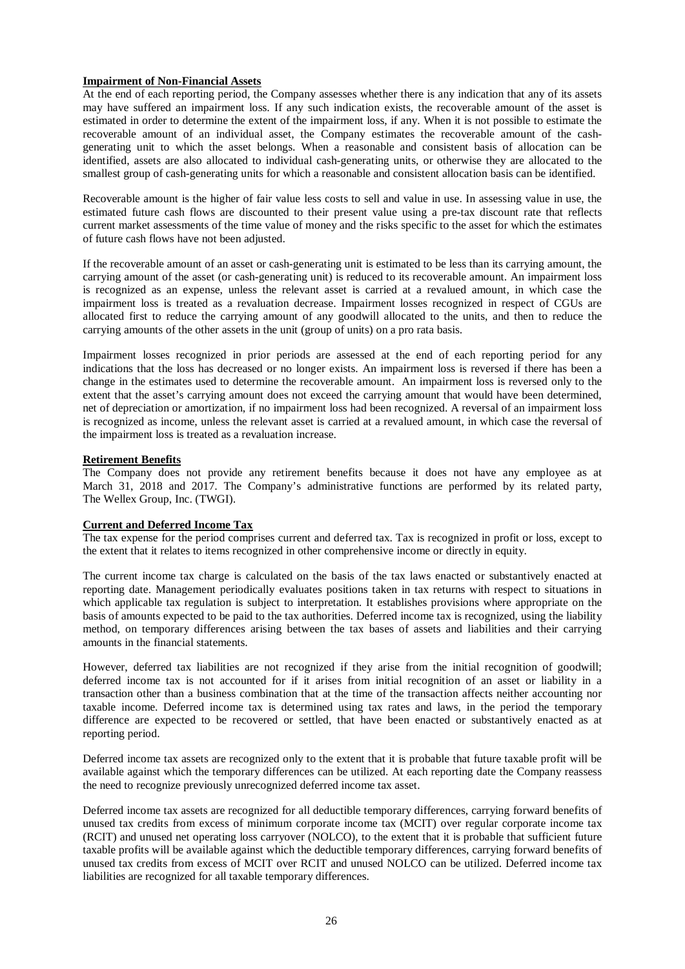# **Impairment of Non-Financial Assets**

At the end of each reporting period, the Company assesses whether there is any indication that any of its assets may have suffered an impairment loss. If any such indication exists, the recoverable amount of the asset is estimated in order to determine the extent of the impairment loss, if any. When it is not possible to estimate the recoverable amount of an individual asset, the Company estimates the recoverable amount of the cashgenerating unit to which the asset belongs. When a reasonable and consistent basis of allocation can be identified, assets are also allocated to individual cash-generating units, or otherwise they are allocated to the smallest group of cash-generating units for which a reasonable and consistent allocation basis can be identified.

Recoverable amount is the higher of fair value less costs to sell and value in use. In assessing value in use, the estimated future cash flows are discounted to their present value using a pre-tax discount rate that reflects current market assessments of the time value of money and the risks specific to the asset for which the estimates of future cash flows have not been adjusted.

If the recoverable amount of an asset or cash-generating unit is estimated to be less than its carrying amount, the carrying amount of the asset (or cash-generating unit) is reduced to its recoverable amount. An impairment loss is recognized as an expense, unless the relevant asset is carried at a revalued amount, in which case the impairment loss is treated as a revaluation decrease. Impairment losses recognized in respect of CGUs are allocated first to reduce the carrying amount of any goodwill allocated to the units, and then to reduce the carrying amounts of the other assets in the unit (group of units) on a pro rata basis.

Impairment losses recognized in prior periods are assessed at the end of each reporting period for any indications that the loss has decreased or no longer exists. An impairment loss is reversed if there has been a change in the estimates used to determine the recoverable amount. An impairment loss is reversed only to the extent that the asset's carrying amount does not exceed the carrying amount that would have been determined, net of depreciation or amortization, if no impairment loss had been recognized. A reversal of an impairment loss is recognized as income, unless the relevant asset is carried at a revalued amount, in which case the reversal of the impairment loss is treated as a revaluation increase.

# **Retirement Benefits**

The Company does not provide any retirement benefits because it does not have any employee as at March 31, 2018 and 2017. The Company's administrative functions are performed by its related party, The Wellex Group, Inc. (TWGI).

# **Current and Deferred Income Tax**

The tax expense for the period comprises current and deferred tax. Tax is recognized in profit or loss, except to the extent that it relates to items recognized in other comprehensive income or directly in equity.

The current income tax charge is calculated on the basis of the tax laws enacted or substantively enacted at reporting date. Management periodically evaluates positions taken in tax returns with respect to situations in which applicable tax regulation is subject to interpretation. It establishes provisions where appropriate on the basis of amounts expected to be paid to the tax authorities. Deferred income tax is recognized, using the liability method, on temporary differences arising between the tax bases of assets and liabilities and their carrying amounts in the financial statements.

However, deferred tax liabilities are not recognized if they arise from the initial recognition of goodwill; deferred income tax is not accounted for if it arises from initial recognition of an asset or liability in a transaction other than a business combination that at the time of the transaction affects neither accounting nor taxable income. Deferred income tax is determined using tax rates and laws, in the period the temporary difference are expected to be recovered or settled, that have been enacted or substantively enacted as at reporting period.

Deferred income tax assets are recognized only to the extent that it is probable that future taxable profit will be available against which the temporary differences can be utilized. At each reporting date the Company reassess the need to recognize previously unrecognized deferred income tax asset.

Deferred income tax assets are recognized for all deductible temporary differences, carrying forward benefits of unused tax credits from excess of minimum corporate income tax (MCIT) over regular corporate income tax (RCIT) and unused net operating loss carryover (NOLCO), to the extent that it is probable that sufficient future taxable profits will be available against which the deductible temporary differences, carrying forward benefits of unused tax credits from excess of MCIT over RCIT and unused NOLCO can be utilized. Deferred income tax liabilities are recognized for all taxable temporary differences.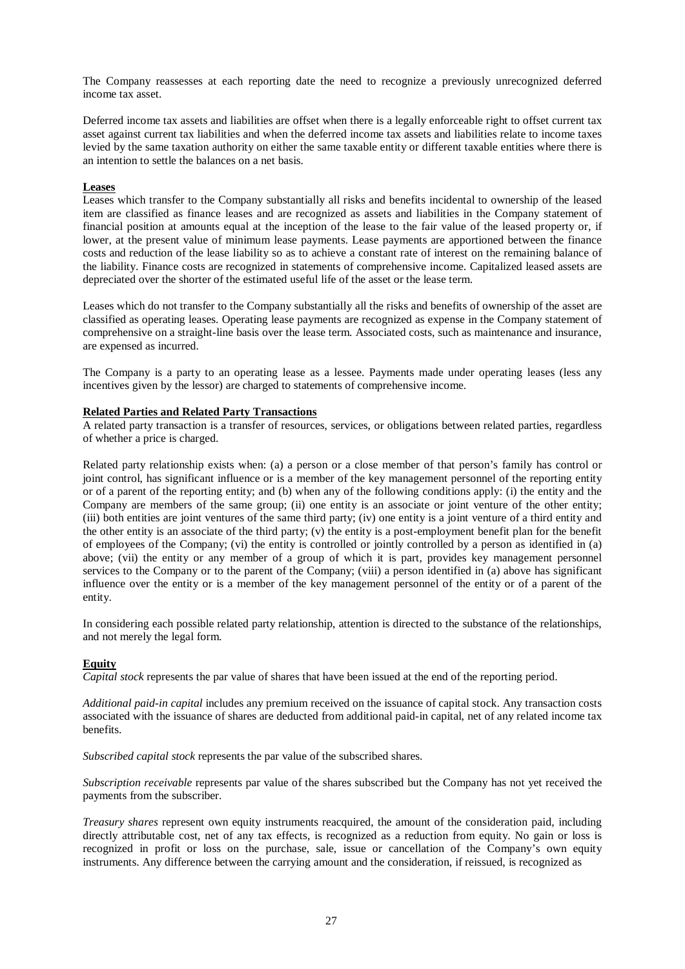The Company reassesses at each reporting date the need to recognize a previously unrecognized deferred income tax asset.

Deferred income tax assets and liabilities are offset when there is a legally enforceable right to offset current tax asset against current tax liabilities and when the deferred income tax assets and liabilities relate to income taxes levied by the same taxation authority on either the same taxable entity or different taxable entities where there is an intention to settle the balances on a net basis.

#### **Leases**

Leases which transfer to the Company substantially all risks and benefits incidental to ownership of the leased item are classified as finance leases and are recognized as assets and liabilities in the Company statement of financial position at amounts equal at the inception of the lease to the fair value of the leased property or, if lower, at the present value of minimum lease payments. Lease payments are apportioned between the finance costs and reduction of the lease liability so as to achieve a constant rate of interest on the remaining balance of the liability. Finance costs are recognized in statements of comprehensive income. Capitalized leased assets are depreciated over the shorter of the estimated useful life of the asset or the lease term.

Leases which do not transfer to the Company substantially all the risks and benefits of ownership of the asset are classified as operating leases. Operating lease payments are recognized as expense in the Company statement of comprehensive on a straight-line basis over the lease term. Associated costs, such as maintenance and insurance, are expensed as incurred.

The Company is a party to an operating lease as a lessee. Payments made under operating leases (less any incentives given by the lessor) are charged to statements of comprehensive income.

### **Related Parties and Related Party Transactions**

A related party transaction is a transfer of resources, services, or obligations between related parties, regardless of whether a price is charged.

Related party relationship exists when: (a) a person or a close member of that person's family has control or joint control, has significant influence or is a member of the key management personnel of the reporting entity or of a parent of the reporting entity; and (b) when any of the following conditions apply: (i) the entity and the Company are members of the same group; (ii) one entity is an associate or joint venture of the other entity; (iii) both entities are joint ventures of the same third party; (iv) one entity is a joint venture of a third entity and the other entity is an associate of the third party; (v) the entity is a post-employment benefit plan for the benefit of employees of the Company; (vi) the entity is controlled or jointly controlled by a person as identified in (a) above; (vii) the entity or any member of a group of which it is part, provides key management personnel services to the Company or to the parent of the Company; (viii) a person identified in (a) above has significant influence over the entity or is a member of the key management personnel of the entity or of a parent of the entity.

In considering each possible related party relationship, attention is directed to the substance of the relationships, and not merely the legal form.

# **Equity**

*Capital stock* represents the par value of shares that have been issued at the end of the reporting period.

*Additional paid-in capital* includes any premium received on the issuance of capital stock. Any transaction costs associated with the issuance of shares are deducted from additional paid-in capital, net of any related income tax benefits.

*Subscribed capital stock* represents the par value of the subscribed shares.

*Subscription receivable* represents par value of the shares subscribed but the Company has not yet received the payments from the subscriber.

*Treasury shares* represent own equity instruments reacquired, the amount of the consideration paid, including directly attributable cost, net of any tax effects, is recognized as a reduction from equity. No gain or loss is recognized in profit or loss on the purchase, sale, issue or cancellation of the Company's own equity instruments. Any difference between the carrying amount and the consideration, if reissued, is recognized as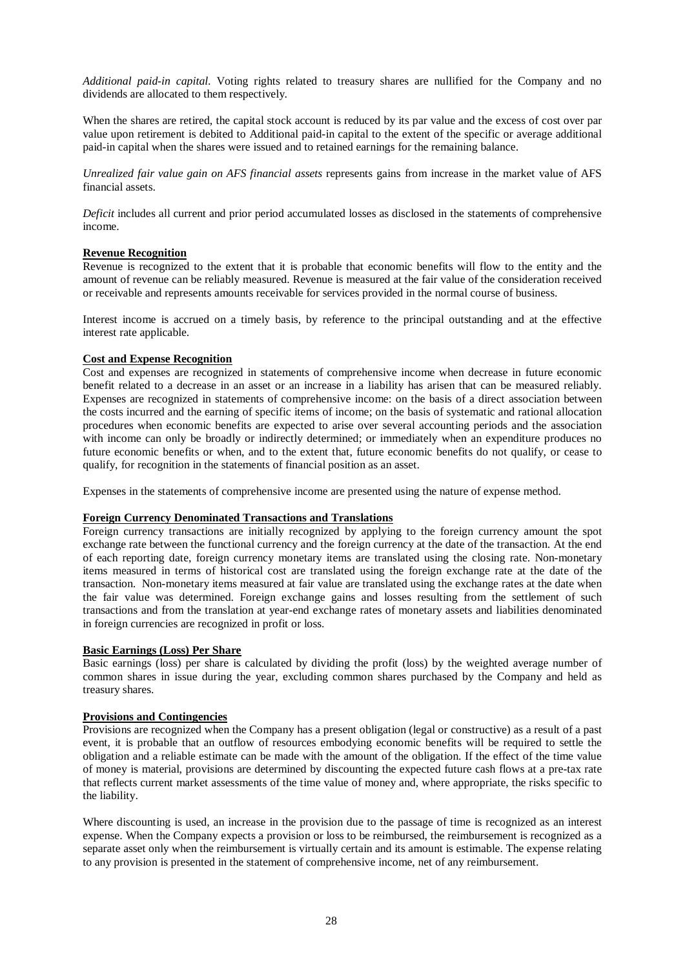*Additional paid-in capital*. Voting rights related to treasury shares are nullified for the Company and no dividends are allocated to them respectively.

When the shares are retired, the capital stock account is reduced by its par value and the excess of cost over par value upon retirement is debited to Additional paid-in capital to the extent of the specific or average additional paid-in capital when the shares were issued and to retained earnings for the remaining balance.

*Unrealized fair value gain on AFS financial assets* represents gains from increase in the market value of AFS financial assets.

*Deficit* includes all current and prior period accumulated losses as disclosed in the statements of comprehensive income.

### **Revenue Recognition**

Revenue is recognized to the extent that it is probable that economic benefits will flow to the entity and the amount of revenue can be reliably measured. Revenue is measured at the fair value of the consideration received or receivable and represents amounts receivable for services provided in the normal course of business.

Interest income is accrued on a timely basis, by reference to the principal outstanding and at the effective interest rate applicable.

# **Cost and Expense Recognition**

Cost and expenses are recognized in statements of comprehensive income when decrease in future economic benefit related to a decrease in an asset or an increase in a liability has arisen that can be measured reliably. Expenses are recognized in statements of comprehensive income: on the basis of a direct association between the costs incurred and the earning of specific items of income; on the basis of systematic and rational allocation procedures when economic benefits are expected to arise over several accounting periods and the association with income can only be broadly or indirectly determined; or immediately when an expenditure produces no future economic benefits or when, and to the extent that, future economic benefits do not qualify, or cease to qualify, for recognition in the statements of financial position as an asset.

Expenses in the statements of comprehensive income are presented using the nature of expense method.

### **Foreign Currency Denominated Transactions and Translations**

Foreign currency transactions are initially recognized by applying to the foreign currency amount the spot exchange rate between the functional currency and the foreign currency at the date of the transaction. At the end of each reporting date, foreign currency monetary items are translated using the closing rate. Non-monetary items measured in terms of historical cost are translated using the foreign exchange rate at the date of the transaction. Non-monetary items measured at fair value are translated using the exchange rates at the date when the fair value was determined. Foreign exchange gains and losses resulting from the settlement of such transactions and from the translation at year-end exchange rates of monetary assets and liabilities denominated in foreign currencies are recognized in profit or loss.

#### **Basic Earnings (Loss) Per Share**

Basic earnings (loss) per share is calculated by dividing the profit (loss) by the weighted average number of common shares in issue during the year, excluding common shares purchased by the Company and held as treasury shares.

#### **Provisions and Contingencies**

Provisions are recognized when the Company has a present obligation (legal or constructive) as a result of a past event, it is probable that an outflow of resources embodying economic benefits will be required to settle the obligation and a reliable estimate can be made with the amount of the obligation. If the effect of the time value of money is material, provisions are determined by discounting the expected future cash flows at a pre-tax rate that reflects current market assessments of the time value of money and, where appropriate, the risks specific to the liability.

Where discounting is used, an increase in the provision due to the passage of time is recognized as an interest expense. When the Company expects a provision or loss to be reimbursed, the reimbursement is recognized as a separate asset only when the reimbursement is virtually certain and its amount is estimable. The expense relating to any provision is presented in the statement of comprehensive income, net of any reimbursement.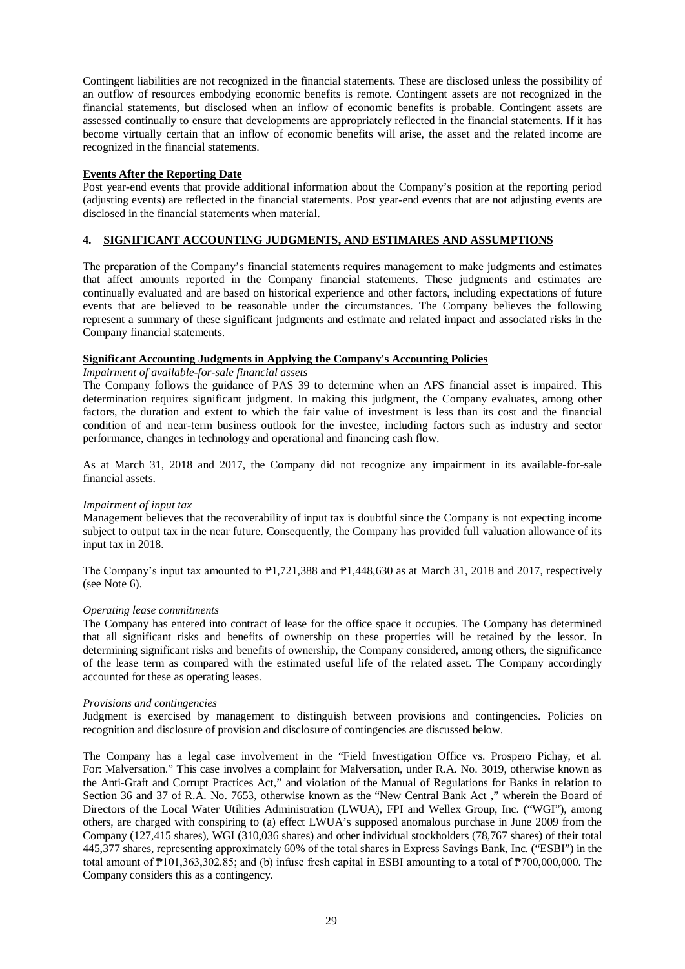Contingent liabilities are not recognized in the financial statements. These are disclosed unless the possibility of an outflow of resources embodying economic benefits is remote. Contingent assets are not recognized in the financial statements, but disclosed when an inflow of economic benefits is probable. Contingent assets are assessed continually to ensure that developments are appropriately reflected in the financial statements. If it has become virtually certain that an inflow of economic benefits will arise, the asset and the related income are recognized in the financial statements.

### **Events After the Reporting Date**

Post year-end events that provide additional information about the Company's position at the reporting period (adjusting events) are reflected in the financial statements. Post year-end events that are not adjusting events are disclosed in the financial statements when material.

# **4. SIGNIFICANT ACCOUNTING JUDGMENTS, AND ESTIMARES AND ASSUMPTIONS**

The preparation of the Company's financial statements requires management to make judgments and estimates that affect amounts reported in the Company financial statements. These judgments and estimates are continually evaluated and are based on historical experience and other factors, including expectations of future events that are believed to be reasonable under the circumstances. The Company believes the following represent a summary of these significant judgments and estimate and related impact and associated risks in the Company financial statements.

### **Significant Accounting Judgments in Applying the Company's Accounting Policies**

*Impairment of available-for-sale financial assets* 

The Company follows the guidance of PAS 39 to determine when an AFS financial asset is impaired. This determination requires significant judgment. In making this judgment, the Company evaluates, among other factors, the duration and extent to which the fair value of investment is less than its cost and the financial condition of and near-term business outlook for the investee, including factors such as industry and sector performance, changes in technology and operational and financing cash flow.

As at March 31, 2018 and 2017, the Company did not recognize any impairment in its available-for-sale financial assets.

#### *Impairment of input tax*

Management believes that the recoverability of input tax is doubtful since the Company is not expecting income subject to output tax in the near future. Consequently, the Company has provided full valuation allowance of its input tax in 2018.

The Company's input tax amounted to  $\mathbb{P}1,721,388$  and  $\mathbb{P}1,448,630$  as at March 31, 2018 and 2017, respectively (see Note 6).

#### *Operating lease commitments*

The Company has entered into contract of lease for the office space it occupies. The Company has determined that all significant risks and benefits of ownership on these properties will be retained by the lessor. In determining significant risks and benefits of ownership, the Company considered, among others, the significance of the lease term as compared with the estimated useful life of the related asset. The Company accordingly accounted for these as operating leases.

#### *Provisions and contingencies*

Judgment is exercised by management to distinguish between provisions and contingencies. Policies on recognition and disclosure of provision and disclosure of contingencies are discussed below.

The Company has a legal case involvement in the "Field Investigation Office vs. Prospero Pichay, et al. For: Malversation." This case involves a complaint for Malversation, under R.A. No. 3019, otherwise known as the Anti-Graft and Corrupt Practices Act," and violation of the Manual of Regulations for Banks in relation to Section 36 and 37 of R.A. No. 7653, otherwise known as the "New Central Bank Act ," wherein the Board of Directors of the Local Water Utilities Administration (LWUA), FPI and Wellex Group, Inc. ("WGI"), among others, are charged with conspiring to (a) effect LWUA's supposed anomalous purchase in June 2009 from the Company (127,415 shares), WGI (310,036 shares) and other individual stockholders (78,767 shares) of their total 445,377 shares, representing approximately 60% of the total shares in Express Savings Bank, Inc. ("ESBI") in the total amount of ₱101,363,302.85; and (b) infuse fresh capital in ESBI amounting to a total of ₱700,000,000. The Company considers this as a contingency.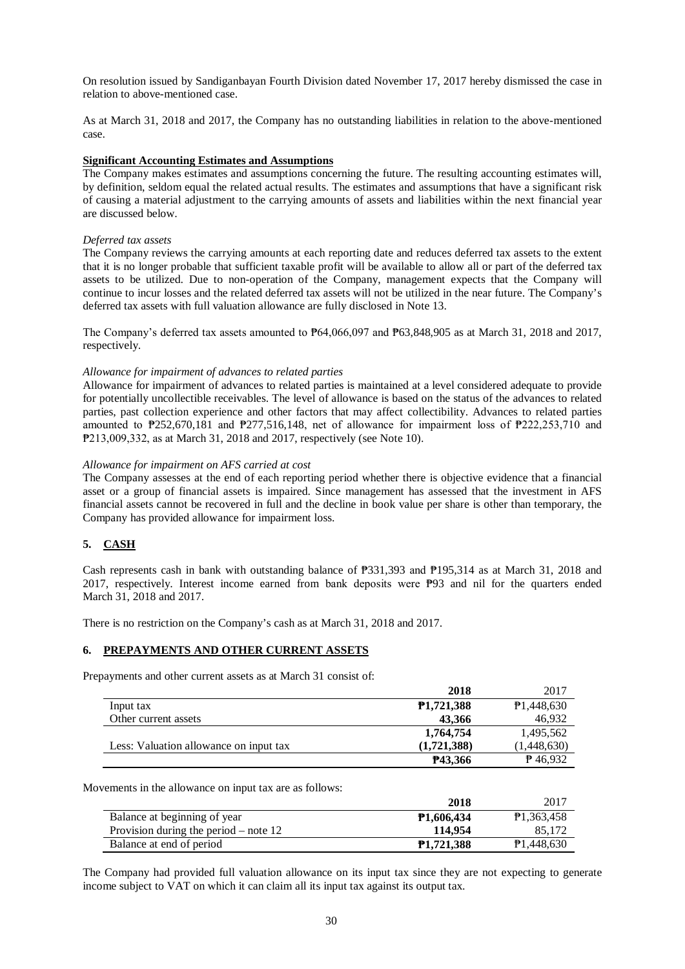On resolution issued by Sandiganbayan Fourth Division dated November 17, 2017 hereby dismissed the case in relation to above-mentioned case.

As at March 31, 2018 and 2017, the Company has no outstanding liabilities in relation to the above-mentioned case.

### **Significant Accounting Estimates and Assumptions**

The Company makes estimates and assumptions concerning the future. The resulting accounting estimates will, by definition, seldom equal the related actual results. The estimates and assumptions that have a significant risk of causing a material adjustment to the carrying amounts of assets and liabilities within the next financial year are discussed below.

### *Deferred tax assets*

The Company reviews the carrying amounts at each reporting date and reduces deferred tax assets to the extent that it is no longer probable that sufficient taxable profit will be available to allow all or part of the deferred tax assets to be utilized. Due to non-operation of the Company, management expects that the Company will continue to incur losses and the related deferred tax assets will not be utilized in the near future. The Company's deferred tax assets with full valuation allowance are fully disclosed in Note 13.

The Company's deferred tax assets amounted to ₱64,066,097 and ₱63,848,905 as at March 31, 2018 and 2017, respectively.

### *Allowance for impairment of advances to related parties*

Allowance for impairment of advances to related parties is maintained at a level considered adequate to provide for potentially uncollectible receivables. The level of allowance is based on the status of the advances to related parties, past collection experience and other factors that may affect collectibility. Advances to related parties amounted to ₱252,670,181 and ₱277,516,148, net of allowance for impairment loss of ₱222,253,710 and ₱213,009,332, as at March 31, 2018 and 2017, respectively (see Note 10).

### *Allowance for impairment on AFS carried at cost*

The Company assesses at the end of each reporting period whether there is objective evidence that a financial asset or a group of financial assets is impaired. Since management has assessed that the investment in AFS financial assets cannot be recovered in full and the decline in book value per share is other than temporary, the Company has provided allowance for impairment loss.

# **5. CASH**

Cash represents cash in bank with outstanding balance of ₱331,393 and ₱195,314 as at March 31, 2018 and 2017, respectively. Interest income earned from bank deposits were ₱93 and nil for the quarters ended March 31, 2018 and 2017.

There is no restriction on the Company's cash as at March 31, 2018 and 2017.

### **6. PREPAYMENTS AND OTHER CURRENT ASSETS**

Prepayments and other current assets as at March 31 consist of:

|                                        | 2018                    | 2017              |
|----------------------------------------|-------------------------|-------------------|
| Input tax                              | P <sub>1</sub> ,721,388 | P1,448,630        |
| Other current assets                   | 43,366                  | 46.932            |
|                                        | 1,764,754               | 1,495,562         |
| Less: Valuation allowance on input tax | (1.721.388)             | (1,448,630)       |
|                                        | P43,366                 | $\uparrow$ 46,932 |

Movements in the allowance on input tax are as follows:

|                                         | 2018              | 2017                    |
|-----------------------------------------|-------------------|-------------------------|
| Balance at beginning of year            | <b>P1,606,434</b> | P <sub>1</sub> ,363,458 |
| Provision during the period $-$ note 12 | 114.954           | 85.172                  |
| Balance at end of period                | <b>P1.721.388</b> | P1,448,630              |

The Company had provided full valuation allowance on its input tax since they are not expecting to generate income subject to VAT on which it can claim all its input tax against its output tax.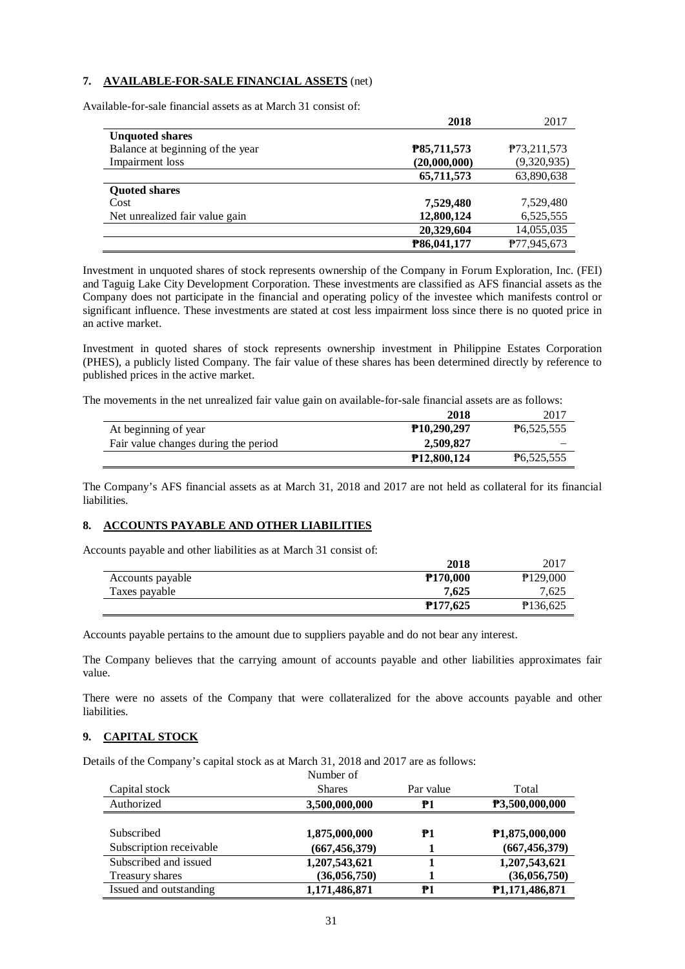# **7. AVAILABLE-FOR-SALE FINANCIAL ASSETS** (net)

Available-for-sale financial assets as at March 31 consist of:

|                                  | 2018         | 2017                       |
|----------------------------------|--------------|----------------------------|
| <b>Unquoted shares</b>           |              |                            |
| Balance at beginning of the year | P85,711,573  | P <sub>73</sub> , 211, 573 |
| Impairment loss                  | (20,000,000) | (9,320,935)                |
|                                  | 65,711,573   | 63,890,638                 |
| <b>Quoted shares</b>             |              |                            |
| Cost                             | 7,529,480    | 7,529,480                  |
| Net unrealized fair value gain   | 12,800,124   | 6,525,555                  |
|                                  | 20,329,604   | 14,055,035                 |
|                                  | P86,041,177  | P77,945,673                |

Investment in unquoted shares of stock represents ownership of the Company in Forum Exploration, Inc. (FEI) and Taguig Lake City Development Corporation. These investments are classified as AFS financial assets as the Company does not participate in the financial and operating policy of the investee which manifests control or significant influence. These investments are stated at cost less impairment loss since there is no quoted price in an active market.

Investment in quoted shares of stock represents ownership investment in Philippine Estates Corporation (PHES), a publicly listed Company. The fair value of these shares has been determined directly by reference to published prices in the active market.

The movements in the net unrealized fair value gain on available-for-sale financial assets are as follows:

|                                      | 2018                     | 2017       |
|--------------------------------------|--------------------------|------------|
| At beginning of year                 | P <sub>10</sub> ,290,297 | P6,525,555 |
| Fair value changes during the period | 2.509,827                |            |
|                                      | <b>P12,800,124</b>       | P6,525,555 |

The Company's AFS financial assets as at March 31, 2018 and 2017 are not held as collateral for its financial liabilities.

### **8. ACCOUNTS PAYABLE AND OTHER LIABILITIES**

Accounts payable and other liabilities as at March 31 consist of:

|                  | <b>2018</b>           | 2017                 |
|------------------|-----------------------|----------------------|
| Accounts payable | <b>P170.000</b>       | P129.000             |
| Taxes payable    | 7.625                 | 7,625                |
|                  | P <sub>177</sub> ,625 | P <sub>136,625</sub> |

Accounts payable pertains to the amount due to suppliers payable and do not bear any interest.

The Company believes that the carrying amount of accounts payable and other liabilities approximates fair value.

There were no assets of the Company that were collateralized for the above accounts payable and other liabilities.

# **9. CAPITAL STOCK**

Details of the Company's capital stock as at March 31, 2018 and 2017 are as follows:

|                         | Number of       |           |                             |
|-------------------------|-----------------|-----------|-----------------------------|
| Capital stock           | <b>Shares</b>   | Par value | Total                       |
| Authorized              | 3,500,000,000   | P1        | P3,500,000,000              |
|                         |                 |           |                             |
| <b>Subscribed</b>       | 1,875,000,000   | P1        | P <sub>1</sub> ,875,000,000 |
| Subscription receivable | (667, 456, 379) |           | (667, 456, 379)             |
| Subscribed and issued   | 1,207,543,621   |           | 1,207,543,621               |
| Treasury shares         | (36, 056, 750)  |           | (36,056,750)                |
| Issued and outstanding  | 1,171,486,871   | P1        | P1,171,486,871              |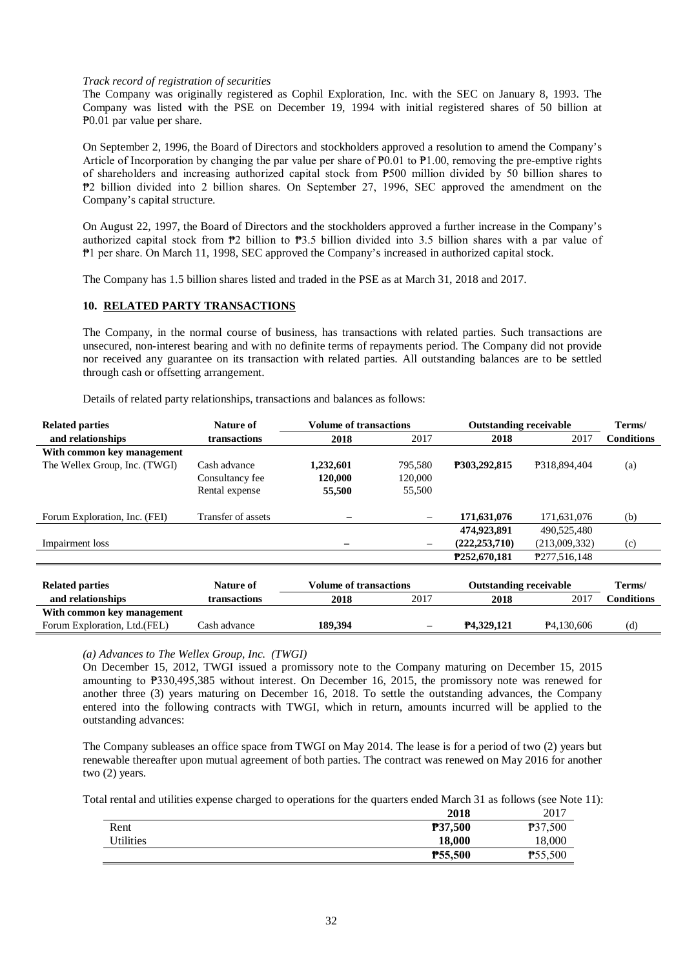### *Track record of registration of securities*

The Company was originally registered as Cophil Exploration, Inc. with the SEC on January 8, 1993. The Company was listed with the PSE on December 19, 1994 with initial registered shares of 50 billion at ₱0.01 par value per share.

On September 2, 1996, the Board of Directors and stockholders approved a resolution to amend the Company's Article of Incorporation by changing the par value per share of  $P0.01$  to  $P1.00$ , removing the pre-emptive rights of shareholders and increasing authorized capital stock from ₱500 million divided by 50 billion shares to ₱2 billion divided into 2 billion shares. On September 27, 1996, SEC approved the amendment on the Company's capital structure.

On August 22, 1997, the Board of Directors and the stockholders approved a further increase in the Company's authorized capital stock from ₱2 billion to ₱3.5 billion divided into 3.5 billion shares with a par value of ₱1 per share. On March 11, 1998, SEC approved the Company's increased in authorized capital stock.

The Company has 1.5 billion shares listed and traded in the PSE as at March 31, 2018 and 2017.

# **10. RELATED PARTY TRANSACTIONS**

The Company, in the normal course of business, has transactions with related parties. Such transactions are unsecured, non-interest bearing and with no definite terms of repayments period. The Company did not provide nor received any guarantee on its transaction with related parties. All outstanding balances are to be settled through cash or offsetting arrangement.

Details of related party relationships, transactions and balances as follows:

| <b>Related parties</b>        | Nature of          | <b>Volume of transactions</b> |         | <b>Outstanding receivable</b> |                         | Terms/            |
|-------------------------------|--------------------|-------------------------------|---------|-------------------------------|-------------------------|-------------------|
| and relationships             | transactions       | 2018                          | 2017    | 2018                          | 2017                    | <b>Conditions</b> |
| With common key management    |                    |                               |         |                               |                         |                   |
| The Wellex Group, Inc. (TWGI) | Cash advance       | 1,232,601                     | 795,580 | P303,292,815                  | P318,894,404            | (a)               |
|                               | Consultancy fee    | 120,000                       | 120,000 |                               |                         |                   |
|                               | Rental expense     | 55,500                        | 55,500  |                               |                         |                   |
|                               |                    |                               |         |                               |                         |                   |
| Forum Exploration, Inc. (FEI) | Transfer of assets |                               |         | 171,631,076                   | 171,631,076             | (b)               |
|                               |                    |                               |         | 474.923.891                   | 490,525,480             |                   |
| Impairment loss               |                    |                               |         | (222, 253, 710)               | (213,009,332)           | (c)               |
|                               |                    |                               |         | P252.670.181                  | P277.516.148            |                   |
|                               |                    |                               |         |                               |                         |                   |
| <b>Related parties</b>        | Nature of          | <b>Volume of transactions</b> |         | <b>Outstanding receivable</b> |                         | Terms/            |
| and relationships             | transactions       | 2018                          | 2017    | 2018                          | 2017                    | <b>Conditions</b> |
| With common key management    |                    |                               |         |                               |                         |                   |
| Forum Exploration, Ltd. (FEL) | Cash advance       | 189,394                       |         | P4,329,121                    | P <sub>4</sub> ,130,606 | (d)               |

*(a) Advances to The Wellex Group, Inc. (TWGI)*

On December 15, 2012, TWGI issued a promissory note to the Company maturing on December 15, 2015 amounting to ₱330,495,385 without interest. On December 16, 2015, the promissory note was renewed for another three (3) years maturing on December 16, 2018. To settle the outstanding advances, the Company entered into the following contracts with TWGI, which in return, amounts incurred will be applied to the outstanding advances:

The Company subleases an office space from TWGI on May 2014. The lease is for a period of two (2) years but renewable thereafter upon mutual agreement of both parties. The contract was renewed on May 2016 for another two (2) years.

Total rental and utilities expense charged to operations for the quarters ended March 31 as follows (see Note 11):

|           | 2018    | 2017                |
|-----------|---------|---------------------|
| Rent      | P37,500 | P37,500             |
| Utilities | 18.000  | 18,000              |
|           | P55,500 | P <sub>55,500</sub> |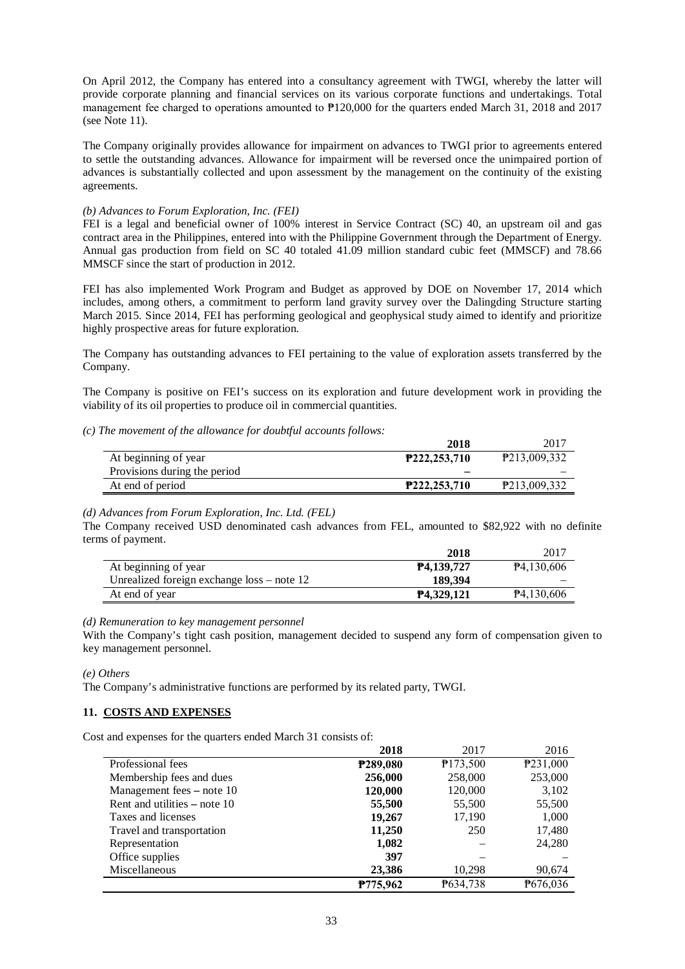On April 2012, the Company has entered into a consultancy agreement with TWGI, whereby the latter will provide corporate planning and financial services on its various corporate functions and undertakings. Total management fee charged to operations amounted to ₱120,000 for the quarters ended March 31, 2018 and 2017 (see Note 11).

The Company originally provides allowance for impairment on advances to TWGI prior to agreements entered to settle the outstanding advances. Allowance for impairment will be reversed once the unimpaired portion of advances is substantially collected and upon assessment by the management on the continuity of the existing agreements.

### *(b) Advances to Forum Exploration, Inc. (FEI)*

FEI is a legal and beneficial owner of 100% interest in Service Contract (SC) 40, an upstream oil and gas contract area in the Philippines, entered into with the Philippine Government through the Department of Energy. Annual gas production from field on SC 40 totaled 41.09 million standard cubic feet (MMSCF) and 78.66 MMSCF since the start of production in 2012.

FEI has also implemented Work Program and Budget as approved by DOE on November 17, 2014 which includes, among others, a commitment to perform land gravity survey over the Dalingding Structure starting March 2015. Since 2014, FEI has performing geological and geophysical study aimed to identify and prioritize highly prospective areas for future exploration.

The Company has outstanding advances to FEI pertaining to the value of exploration assets transferred by the Company.

The Company is positive on FEI's success on its exploration and future development work in providing the viability of its oil properties to produce oil in commercial quantities.

### *(c) The movement of the allowance for doubtful accounts follows:*

|                              | 2018         | 2017         |
|------------------------------|--------------|--------------|
| At beginning of year         | P222,253,710 | P213,009,332 |
| Provisions during the period |              |              |
| At end of period             | P222,253,710 | P213,009,332 |

#### *(d) Advances from Forum Exploration, Inc. Ltd. (FEL)*

The Company received USD denominated cash advances from FEL, amounted to \$82,922 with no definite terms of payment.

|                                              | 2018                   | 2017                    |
|----------------------------------------------|------------------------|-------------------------|
| At beginning of year                         | P4,139,727             | P <sub>4</sub> ,130,606 |
| Unrealized foreign exchange $loss$ – note 12 | 189.394                |                         |
| At end of year                               | P <sub>4.329.121</sub> | P4,130,606              |

### *(d) Remuneration to key management personnel*

With the Company's tight cash position, management decided to suspend any form of compensation given to key management personnel.

#### *(e) Others*

The Company's administrative functions are performed by its related party, TWGI.

# **11. COSTS AND EXPENSES**

Cost and expenses for the quarters ended March 31 consists of:

|                                | 2018     | 2017     | 2016     |
|--------------------------------|----------|----------|----------|
| Professional fees              | P289,080 | P173,500 | P231,000 |
| Membership fees and dues       | 256,000  | 258,000  | 253,000  |
| Management fees – note 10      | 120,000  | 120,000  | 3,102    |
| Rent and utilities $-$ note 10 | 55,500   | 55,500   | 55,500   |
| Taxes and licenses             | 19,267   | 17,190   | 1,000    |
| Travel and transportation      | 11,250   | 250      | 17,480   |
| Representation                 | 1,082    |          | 24,280   |
| Office supplies                | 397      |          |          |
| Miscellaneous                  | 23,386   | 10.298   | 90,674   |
|                                | P775,962 | P634,738 | ₱676,036 |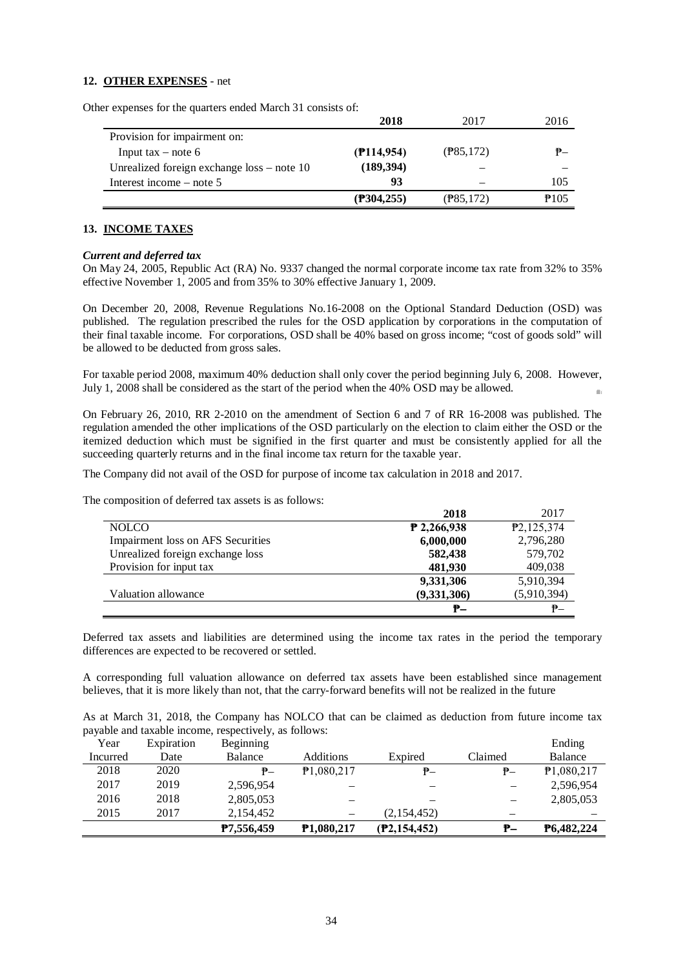# **12. OTHER EXPENSES** - net

Other expenses for the quarters ended March 31 consists of:

|                                              | 2018                  | 2017                  | 2016 |
|----------------------------------------------|-----------------------|-----------------------|------|
| Provision for impairment on:                 |                       |                       |      |
| Input tax $-$ note 6                         | $($ <b>P</b> 114,954) | $(\frac{1}{2}85,172)$ | ₱–   |
| Unrealized foreign exchange $loss$ – note 10 | (189, 394)            |                       |      |
| Interest income $-$ note 5                   | 93                    |                       | 105  |
|                                              | (P304,255)            | (P85,172)             | P105 |

### **13. INCOME TAXES**

#### *Current and deferred tax*

On May 24, 2005, Republic Act (RA) No. 9337 changed the normal corporate income tax rate from 32% to 35% effective November 1, 2005 and from 35% to 30% effective January 1, 2009.

On December 20, 2008, Revenue Regulations No.16-2008 on the Optional Standard Deduction (OSD) was published. The regulation prescribed the rules for the OSD application by corporations in the computation of their final taxable income. For corporations, OSD shall be 40% based on gross income; "cost of goods sold" will be allowed to be deducted from gross sales.

For taxable period 2008, maximum 40% deduction shall only cover the period beginning July 6, 2008. However, July 1, 2008 shall be considered as the start of the period when the 40% OSD may be allowed.  $\alpha$ 

On February 26, 2010, RR 2-2010 on the amendment of Section 6 and 7 of RR 16-2008 was published. The regulation amended the other implications of the OSD particularly on the election to claim either the OSD or the itemized deduction which must be signified in the first quarter and must be consistently applied for all the succeeding quarterly returns and in the final income tax return for the taxable year.

The Company did not avail of the OSD for purpose of income tax calculation in 2018 and 2017.

The composition of deferred tax assets is as follows:

|                                   | 2018          | 2017                      |
|-----------------------------------|---------------|---------------------------|
| <b>NOLCO</b>                      | $P$ 2,266,938 | P <sub>2</sub> , 125, 374 |
| Impairment loss on AFS Securities | 6,000,000     | 2,796,280                 |
| Unrealized foreign exchange loss  | 582,438       | 579,702                   |
| Provision for input tax           | 481,930       | 409,038                   |
|                                   | 9,331,306     | 5,910,394                 |
| Valuation allowance               | (9,331,306)   | (5,910,394)               |
|                                   | ₱–            | $P -$                     |

Deferred tax assets and liabilities are determined using the income tax rates in the period the temporary differences are expected to be recovered or settled.

A corresponding full valuation allowance on deferred tax assets have been established since management believes, that it is more likely than not, that the carry-forward benefits will not be realized in the future

As at March 31, 2018, the Company has NOLCO that can be claimed as deduction from future income tax payable and taxable income, respectively, as follows:

| Year     | Expiration | <b>Beginning</b>  |                          |              |                          | Ending     |
|----------|------------|-------------------|--------------------------|--------------|--------------------------|------------|
| Incurred | Date       | Balance           | Additions                | Expired      | Claimed                  | Balance    |
| 2018     | 2020       | ₱–                | P1,080,217               | ₱–           | ₱–                       | P1,080,217 |
| 2017     | 2019       | 2,596,954         | -                        |              | $\qquad \qquad$          | 2,596,954  |
| 2016     | 2018       | 2,805,053         | -                        |              | $\overline{\phantom{m}}$ | 2,805,053  |
| 2015     | 2017       | 2,154,452         | $\overline{\phantom{m}}$ | (2,154,452)  | -                        |            |
|          |            | <b>P7,556,459</b> | <b>P1,080,217</b>        | (P2,154,452) | ₱–                       | P6,482,224 |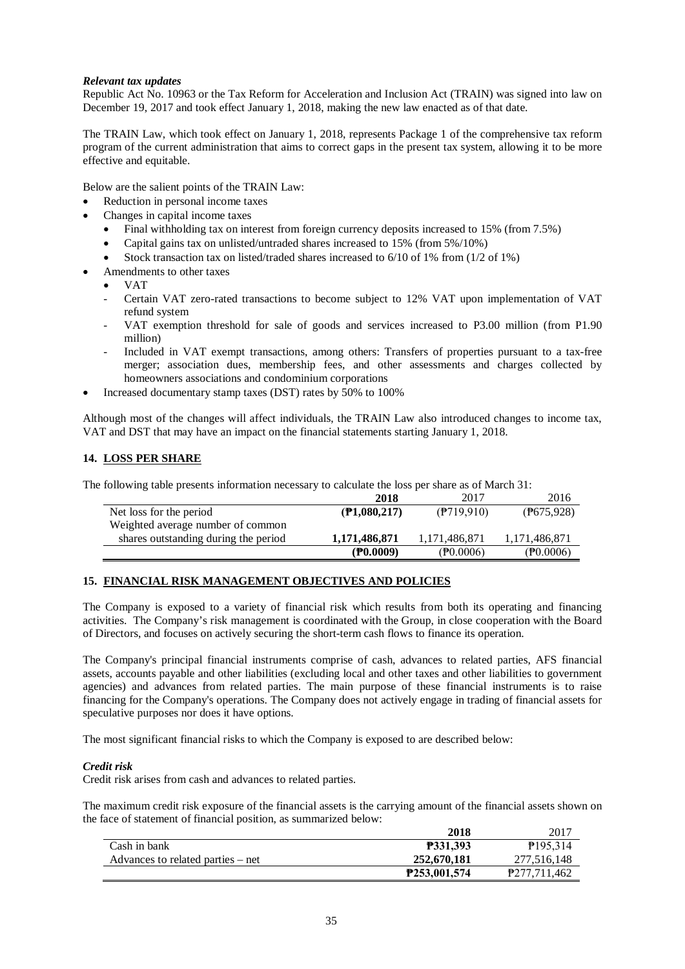# *Relevant tax updates*

Republic Act No. 10963 or the Tax Reform for Acceleration and Inclusion Act (TRAIN) was signed into law on December 19, 2017 and took effect January 1, 2018, making the new law enacted as of that date.

The TRAIN Law, which took effect on January 1, 2018, represents Package 1 of the comprehensive tax reform program of the current administration that aims to correct gaps in the present tax system, allowing it to be more effective and equitable.

Below are the salient points of the TRAIN Law:

- Reduction in personal income taxes
- Changes in capital income taxes
	- Final withholding tax on interest from foreign currency deposits increased to 15% (from 7.5%)
	- Capital gains tax on unlisted/untraded shares increased to 15% (from 5%/10%)
	- Stock transaction tax on listed/traded shares increased to 6/10 of 1% from (1/2 of 1%)
- Amendments to other taxes
	- VAT
	- Certain VAT zero-rated transactions to become subject to 12% VAT upon implementation of VAT refund system
	- VAT exemption threshold for sale of goods and services increased to P3.00 million (from P1.90 million)
	- Included in VAT exempt transactions, among others: Transfers of properties pursuant to a tax-free merger; association dues, membership fees, and other assessments and charges collected by homeowners associations and condominium corporations
- Increased documentary stamp taxes (DST) rates by 50% to 100%

Although most of the changes will affect individuals, the TRAIN Law also introduced changes to income tax, VAT and DST that may have an impact on the financial statements starting January 1, 2018.

# **14. LOSS PER SHARE**

The following table presents information necessary to calculate the loss per share as of March 31:

|                                      | 2018                    | 2017                 | 2016               |
|--------------------------------------|-------------------------|----------------------|--------------------|
| Net loss for the period              | $($ <b>P</b> 1,080,217) | $($ ?] $($ 9719.910) | (P675,928)         |
| Weighted average number of common    |                         |                      |                    |
| shares outstanding during the period | 1,171,486,871           | 1,171,486,871        | 1,171,486,871      |
|                                      | (P0.0009)               | $(\mathbb{P}0.0006)$ | $(\text{P0.0006})$ |

# **15. FINANCIAL RISK MANAGEMENT OBJECTIVES AND POLICIES**

The Company is exposed to a variety of financial risk which results from both its operating and financing activities. The Company's risk management is coordinated with the Group, in close cooperation with the Board of Directors, and focuses on actively securing the short-term cash flows to finance its operation.

The Company's principal financial instruments comprise of cash, advances to related parties, AFS financial assets, accounts payable and other liabilities (excluding local and other taxes and other liabilities to government agencies) and advances from related parties. The main purpose of these financial instruments is to raise financing for the Company's operations. The Company does not actively engage in trading of financial assets for speculative purposes nor does it have options.

The most significant financial risks to which the Company is exposed to are described below:

# *Credit risk*

Credit risk arises from cash and advances to related parties.

The maximum credit risk exposure of the financial assets is the carrying amount of the financial assets shown on the face of statement of financial position, as summarized below:

|                                   | 2018                | 2017                 |
|-----------------------------------|---------------------|----------------------|
| Cash in bank                      | <b>P331.393</b>     | P <sub>195.314</sub> |
| Advances to related parties – net | 252,670,181         | 277,516,148          |
|                                   | <b>P253.001.574</b> | P277.711.462         |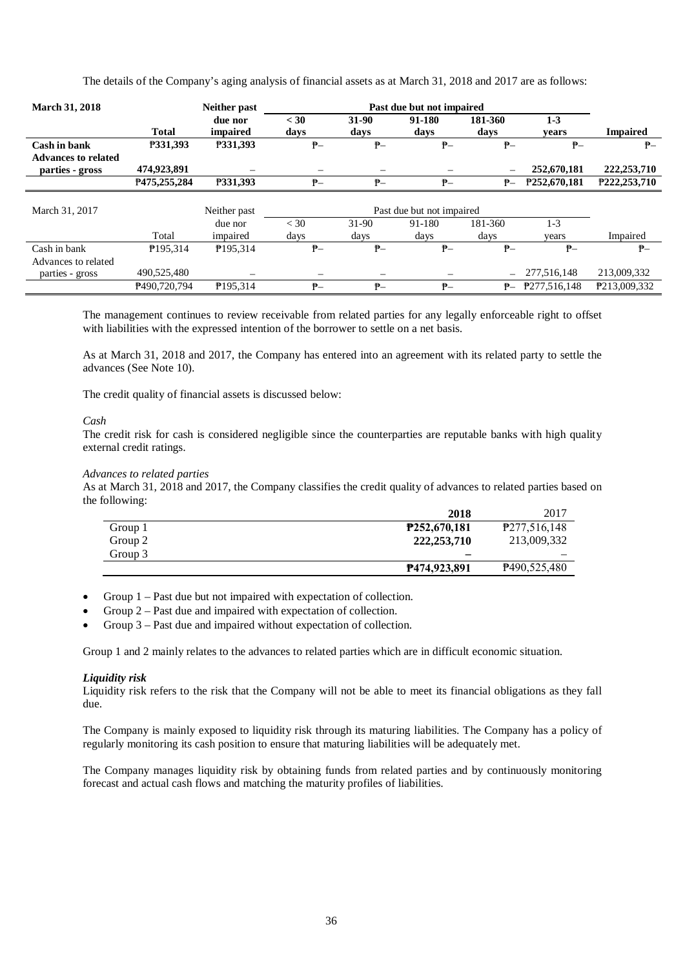The details of the Company's aging analysis of financial assets as at March 31, 2018 and 2017 are as follows:

| <b>March 31, 2018</b>                         |                             | <b>Neither past</b>  | Past due but not impaired |               |                           |                                |                             |                             |
|-----------------------------------------------|-----------------------------|----------------------|---------------------------|---------------|---------------------------|--------------------------------|-----------------------------|-----------------------------|
|                                               | <b>Total</b>                | due nor<br>impaired  | $<$ 30<br>days            | 31-90<br>days | 91-180<br>days            | 181-360<br>days                | $1 - 3$<br>vears            | <b>Impaired</b>             |
| Cash in bank                                  | P331,393                    | P331,393             | $P -$                     | ₱–            | $P -$                     | $P-$                           | $P -$                       | $P -$                       |
| <b>Advances to related</b><br>parties - gross | 474,923,891<br>P475.255.284 | P331.393             | $P-$                      | ₱–            | $P-$                      | $\overline{\phantom{0}}$<br>₱– | 252,670,181<br>P252,670,181 | 222,253,710<br>P222,253,710 |
|                                               |                             |                      |                           |               |                           |                                |                             |                             |
| March 31, 2017                                |                             | Neither past         |                           |               | Past due but not impaired |                                |                             |                             |
|                                               |                             | due nor              | $<$ 30                    | $31-90$       | 91-180                    | 181-360                        | $1-3$                       |                             |
|                                               | Total                       | impaired             | days                      | days          | days                      | days                           | years                       | Impaired                    |
| Cash in bank                                  | P <sub>195.314</sub>        | P <sub>195.314</sub> | $P-$                      | ₱–            | $P -$                     | $P-$                           | $P -$                       | $P-$                        |
| Advances to related                           |                             |                      |                           |               |                           |                                |                             |                             |
| parties - gross                               | 490,525,480                 |                      |                           | —             |                           | $\overline{\phantom{0}}$       | 277,516,148                 | 213,009,332                 |
|                                               | P490.720.794                | P <sub>195.314</sub> | $P -$                     | $P -$         | $P -$                     | ₱–                             | P277.516.148                | P213.009.332                |

The management continues to review receivable from related parties for any legally enforceable right to offset with liabilities with the expressed intention of the borrower to settle on a net basis.

As at March 31, 2018 and 2017, the Company has entered into an agreement with its related party to settle the advances (See Note 10).

The credit quality of financial assets is discussed below:

#### *Cash*

The credit risk for cash is considered negligible since the counterparties are reputable banks with high quality external credit ratings.

#### *Advances to related parties*

As at March 31, 2018 and 2017, the Company classifies the credit quality of advances to related parties based on the following:

|         | 2018          | 2017                     |
|---------|---------------|--------------------------|
| Group 1 | P252,670,181  | P277,516,148             |
| Group 2 | 222, 253, 710 | 213,009,332              |
| Group 3 |               |                          |
|         | P474,923,891  | P <sub>490,525,480</sub> |

• Group 1 – Past due but not impaired with expectation of collection.

- Group 2 Past due and impaired with expectation of collection.
- Group 3 Past due and impaired without expectation of collection.

Group 1 and 2 mainly relates to the advances to related parties which are in difficult economic situation.

#### *Liquidity risk*

Liquidity risk refers to the risk that the Company will not be able to meet its financial obligations as they fall due.

The Company is mainly exposed to liquidity risk through its maturing liabilities. The Company has a policy of regularly monitoring its cash position to ensure that maturing liabilities will be adequately met.

The Company manages liquidity risk by obtaining funds from related parties and by continuously monitoring forecast and actual cash flows and matching the maturity profiles of liabilities.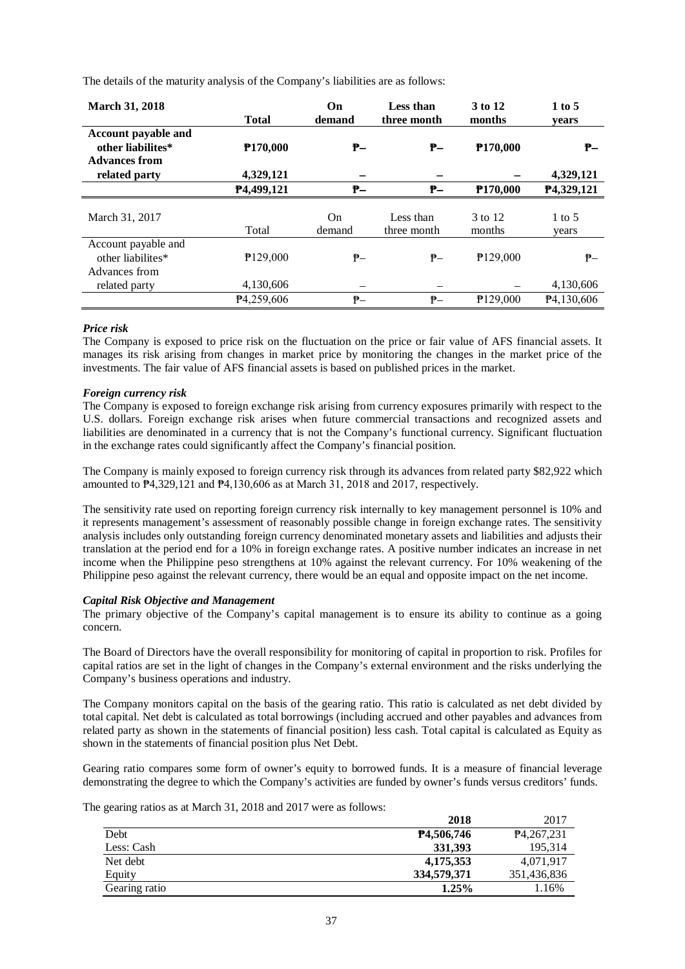The details of the maturity analysis of the Company's liabilities are as follows:

| <b>March 31, 2018</b>                                                   | <b>Total</b>            | On<br>demand  | Less than<br>three month | 3 to 12<br>months    | $1$ to 5<br>years          |
|-------------------------------------------------------------------------|-------------------------|---------------|--------------------------|----------------------|----------------------------|
| <b>Account payable and</b><br>other liabilites*<br><b>Advances from</b> | P <sub>170,000</sub>    | ₱–            | ₱–                       | P <sub>170,000</sub> | ₱–                         |
| related party                                                           | 4,329,121               |               |                          |                      | 4,329,121                  |
|                                                                         | P4,499,121              | ₱–            | ₱–                       | P <sub>170,000</sub> | P4,329,121                 |
| March 31, 2017                                                          | Total                   | On.<br>demand | Less than<br>three month | 3 to 12<br>months    | $1 \text{ to } 5$<br>vears |
| Account payable and<br>other liabilites*<br>Advances from               | P129,000                | ₱–            | ₱–                       | P129,000             | ₱–                         |
| related party                                                           | 4,130,606               | -             |                          |                      | 4,130,606                  |
|                                                                         | P <sub>4</sub> ,259,606 | $P -$         | $P -$                    | P129,000             | P <sub>4</sub> ,130,606    |

# *Price risk*

The Company is exposed to price risk on the fluctuation on the price or fair value of AFS financial assets. It manages its risk arising from changes in market price by monitoring the changes in the market price of the investments. The fair value of AFS financial assets is based on published prices in the market.

# *Foreign currency risk*

The Company is exposed to foreign exchange risk arising from currency exposures primarily with respect to the U.S. dollars. Foreign exchange risk arises when future commercial transactions and recognized assets and liabilities are denominated in a currency that is not the Company's functional currency. Significant fluctuation in the exchange rates could significantly affect the Company's financial position.

The Company is mainly exposed to foreign currency risk through its advances from related party \$82,922 which amounted to ₱4,329,121 and ₱4,130,606 as at March 31, 2018 and 2017, respectively.

The sensitivity rate used on reporting foreign currency risk internally to key management personnel is 10% and it represents management's assessment of reasonably possible change in foreign exchange rates. The sensitivity analysis includes only outstanding foreign currency denominated monetary assets and liabilities and adjusts their translation at the period end for a 10% in foreign exchange rates. A positive number indicates an increase in net income when the Philippine peso strengthens at 10% against the relevant currency. For 10% weakening of the Philippine peso against the relevant currency, there would be an equal and opposite impact on the net income.

# *Capital Risk Objective and Management*

The primary objective of the Company's capital management is to ensure its ability to continue as a going concern.

The Board of Directors have the overall responsibility for monitoring of capital in proportion to risk. Profiles for capital ratios are set in the light of changes in the Company's external environment and the risks underlying the Company's business operations and industry.

The Company monitors capital on the basis of the gearing ratio. This ratio is calculated as net debt divided by total capital. Net debt is calculated as total borrowings (including accrued and other payables and advances from related party as shown in the statements of financial position) less cash. Total capital is calculated as Equity as shown in the statements of financial position plus Net Debt.

Gearing ratio compares some form of owner's equity to borrowed funds. It is a measure of financial leverage demonstrating the degree to which the Company's activities are funded by owner's funds versus creditors' funds.

The gearing ratios as at March 31, 2018 and 2017 were as follows:

|               | 2018        | 2017                      |
|---------------|-------------|---------------------------|
| Debt          | P4,506,746  | P <sub>4</sub> , 267, 231 |
| Less: Cash    | 331.393     | 195.314                   |
| Net debt      | 4,175,353   | 4,071,917                 |
| Equity        | 334,579,371 | 351,436,836               |
| Gearing ratio | $1.25\%$    | 1.16%                     |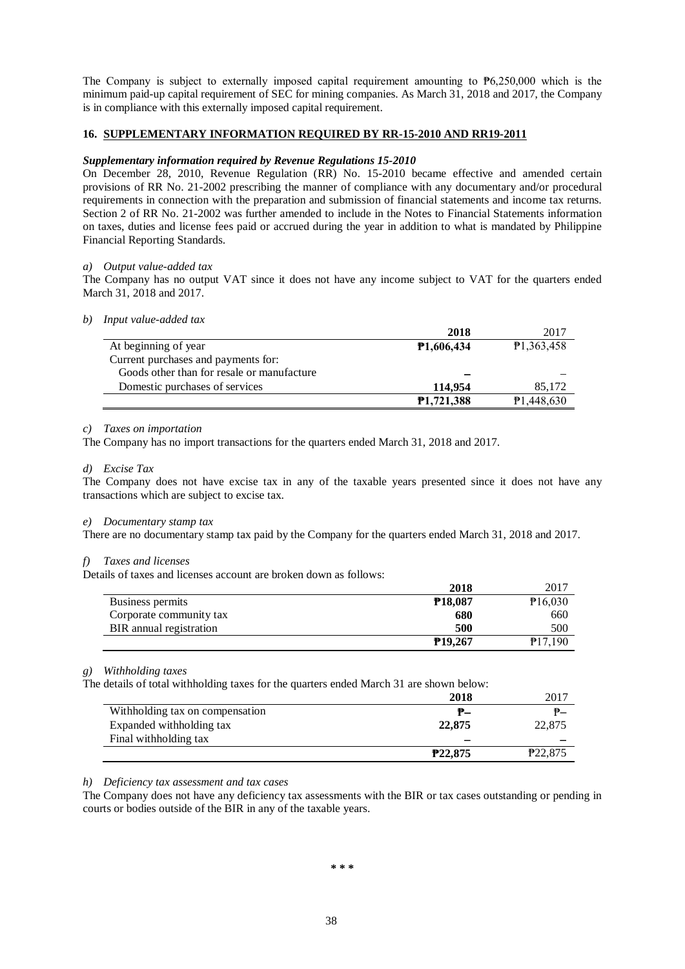The Company is subject to externally imposed capital requirement amounting to  $P6,250,000$  which is the minimum paid-up capital requirement of SEC for mining companies. As March 31, 2018 and 2017, the Company is in compliance with this externally imposed capital requirement.

# **16. SUPPLEMENTARY INFORMATION REQUIRED BY RR-15-2010 AND RR19-2011**

### *Supplementary information required by Revenue Regulations 15-2010*

On December 28, 2010, Revenue Regulation (RR) No. 15-2010 became effective and amended certain provisions of RR No. 21-2002 prescribing the manner of compliance with any documentary and/or procedural requirements in connection with the preparation and submission of financial statements and income tax returns. Section 2 of RR No. 21-2002 was further amended to include in the Notes to Financial Statements information on taxes, duties and license fees paid or accrued during the year in addition to what is mandated by Philippine Financial Reporting Standards.

### *a) Output value-added tax*

The Company has no output VAT since it does not have any income subject to VAT for the quarters ended March 31, 2018 and 2017.

#### *b) Input value-added tax*

|                                            | 2018              | 2017       |
|--------------------------------------------|-------------------|------------|
| At beginning of year                       | <b>P1,606,434</b> | P1,363,458 |
| Current purchases and payments for:        |                   |            |
| Goods other than for resale or manufacture |                   |            |
| Domestic purchases of services             | 114.954           | 85,172     |
|                                            | <b>P1,721,388</b> | P1,448,630 |

#### *c) Taxes on importation*

The Company has no import transactions for the quarters ended March 31, 2018 and 2017.

#### *d) Excise Tax*

The Company does not have excise tax in any of the taxable years presented since it does not have any transactions which are subject to excise tax.

#### *e) Documentary stamp tax*

There are no documentary stamp tax paid by the Company for the quarters ended March 31, 2018 and 2017.

#### *f) Taxes and licenses*

Details of taxes and licenses account are broken down as follows:

|                         | 2018                | 2017    |
|-------------------------|---------------------|---------|
| Business permits        | P <sub>18.087</sub> | P16,030 |
| Corporate community tax | 680                 | 660     |
| BIR annual registration | 500                 | 500     |
|                         | P <sub>19.267</sub> | P17.190 |

## *g) Withholding taxes*

The details of total withholding taxes for the quarters ended March 31 are shown below:

|                                 | 2018    | 2017                 |
|---------------------------------|---------|----------------------|
| Withholding tax on compensation | $P -$   | ₱–                   |
| Expanded with holding tax       | 22,875  | 22,875               |
| Final withholding tax           |         |                      |
|                                 | P22,875 | P <sub>22</sub> ,875 |

#### *h) Deficiency tax assessment and tax cases*

The Company does not have any deficiency tax assessments with the BIR or tax cases outstanding or pending in courts or bodies outside of the BIR in any of the taxable years.